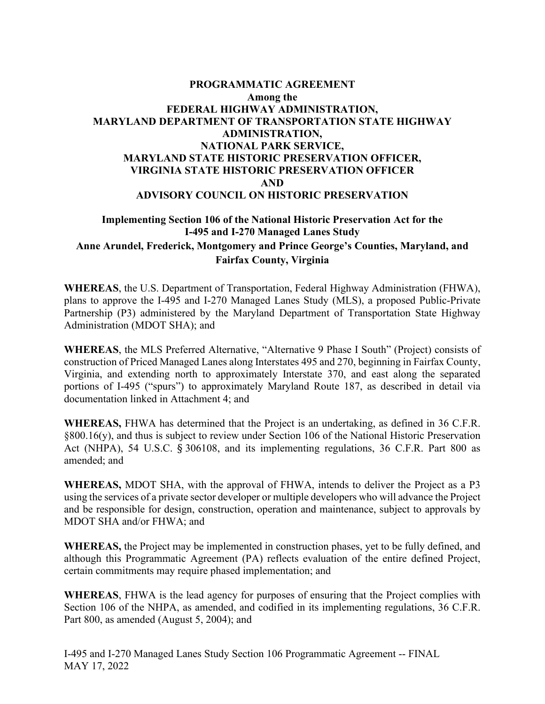## **Implementing Section 106 of the National Historic Preservation Act for the I-495 and I-270 Managed Lanes Study Anne Arundel, Frederick, Montgomery and Prince George's Counties, Maryland, and Fairfax County, Virginia**

**WHEREAS**, the U.S. Department of Transportation, Federal Highway Administration (FHWA), plans to approve the I-495 and I-270 Managed Lanes Study (MLS), a proposed Public-Private Partnership (P3) administered by the Maryland Department of Transportation State Highway Administration (MDOT SHA); and

**WHEREAS**, the MLS Preferred Alternative, "Alternative 9 Phase I South" (Project) consists of construction of Priced Managed Lanes along Interstates 495 and 270, beginning in Fairfax County, Virginia, and extending north to approximately Interstate 370, and east along the separated portions of I-495 ("spurs") to approximately Maryland Route 187, as described in detail via documentation linked in Attachment 4; and

**WHEREAS,** FHWA has determined that the Project is an undertaking, as defined in 36 C.F.R. §800.16(y), and thus is subject to review under Section 106 of the National Historic Preservation Act (NHPA), 54 U.S.C. § 306108, and its implementing regulations, 36 C.F.R. Part 800 as amended; and

**WHEREAS,** MDOT SHA, with the approval of FHWA, intends to deliver the Project as a P3 using the services of a private sector developer or multiple developers who will advance the Project and be responsible for design, construction, operation and maintenance, subject to approvals by MDOT SHA and/or FHWA; and

**WHEREAS,** the Project may be implemented in construction phases, yet to be fully defined, and although this Programmatic Agreement (PA) reflects evaluation of the entire defined Project, certain commitments may require phased implementation; and

**WHEREAS**, FHWA is the lead agency for purposes of ensuring that the Project complies with Section 106 of the NHPA, as amended, and codified in its implementing regulations, 36 C.F.R. Part 800, as amended (August 5, 2004); and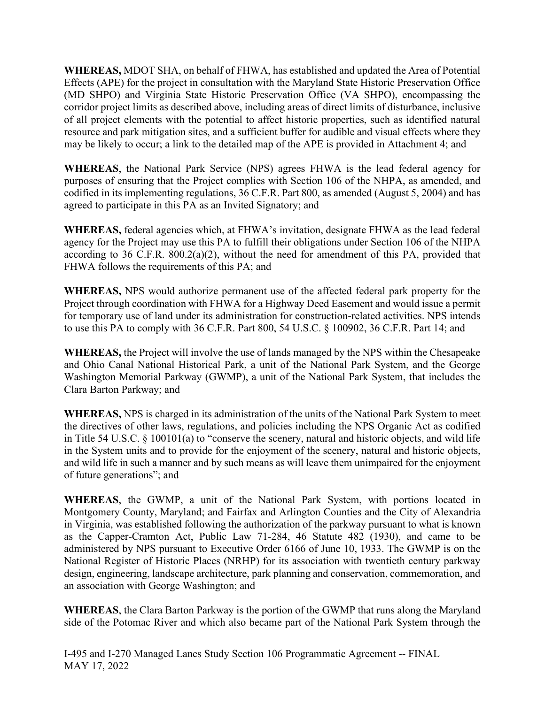**WHEREAS,** MDOT SHA, on behalf of FHWA, has established and updated the Area of Potential Effects (APE) for the project in consultation with the Maryland State Historic Preservation Office (MD SHPO) and Virginia State Historic Preservation Office (VA SHPO), encompassing the corridor project limits as described above, including areas of direct limits of disturbance, inclusive of all project elements with the potential to affect historic properties, such as identified natural resource and park mitigation sites, and a sufficient buffer for audible and visual effects where they may be likely to occur; a link to the detailed map of the APE is provided in Attachment 4; and

**WHEREAS**, the National Park Service (NPS) agrees FHWA is the lead federal agency for purposes of ensuring that the Project complies with Section 106 of the NHPA, as amended, and codified in its implementing regulations, 36 C.F.R. Part 800, as amended (August 5, 2004) and has agreed to participate in this PA as an Invited Signatory; and

**WHEREAS,** federal agencies which, at FHWA's invitation, designate FHWA as the lead federal agency for the Project may use this PA to fulfill their obligations under Section 106 of the NHPA according to 36 C.F.R. 800.2(a)(2), without the need for amendment of this PA, provided that FHWA follows the requirements of this PA; and

**WHEREAS,** NPS would authorize permanent use of the affected federal park property for the Project through coordination with FHWA for a Highway Deed Easement and would issue a permit for temporary use of land under its administration for construction-related activities. NPS intends to use this PA to comply with 36 C.F.R. Part 800, 54 U.S.C. § 100902, 36 C.F.R. Part 14; and

**WHEREAS,** the Project will involve the use of lands managed by the NPS within the Chesapeake and Ohio Canal National Historical Park, a unit of the National Park System, and the George Washington Memorial Parkway (GWMP), a unit of the National Park System, that includes the Clara Barton Parkway; and

**WHEREAS,** NPS is charged in its administration of the units of the National Park System to meet the directives of other laws, regulations, and policies including the NPS Organic Act as codified in Title 54 U.S.C. § 100101(a) to "conserve the scenery, natural and historic objects, and wild life in the System units and to provide for the enjoyment of the scenery, natural and historic objects, and wild life in such a manner and by such means as will leave them unimpaired for the enjoyment of future generations"; and

**WHEREAS**, the GWMP, a unit of the National Park System, with portions located in Montgomery County, Maryland; and Fairfax and Arlington Counties and the City of Alexandria in Virginia, was established following the authorization of the parkway pursuant to what is known as the Capper-Cramton Act, Public Law 71-284, 46 Statute 482 (1930), and came to be administered by NPS pursuant to Executive Order 6166 of June 10, 1933. The GWMP is on the National Register of Historic Places (NRHP) for its association with twentieth century parkway design, engineering, landscape architecture, park planning and conservation, commemoration, and an association with George Washington; and

**WHEREAS**, the Clara Barton Parkway is the portion of the GWMP that runs along the Maryland side of the Potomac River and which also became part of the National Park System through the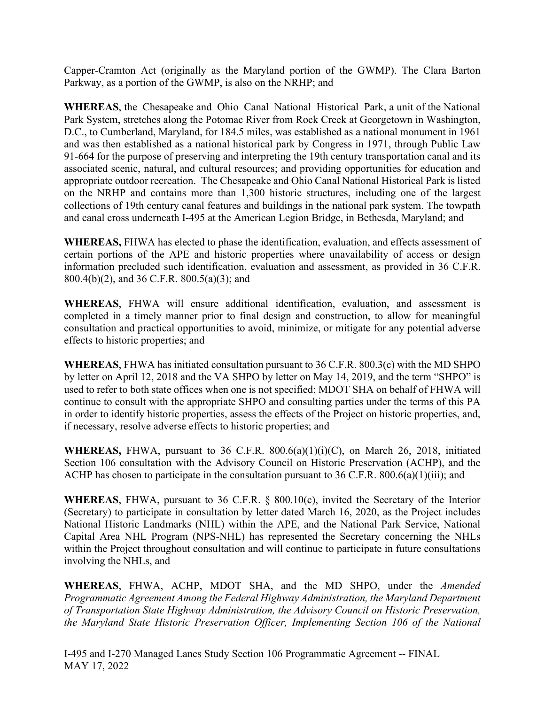Capper-Cramton Act (originally as the Maryland portion of the GWMP). The Clara Barton Parkway, as a portion of the GWMP, is also on the NRHP; and

**WHEREAS**, the Chesapeake and Ohio Canal National Historical Park, a unit of the National Park System, stretches along the Potomac River from Rock Creek at Georgetown in Washington, D.C., to Cumberland, Maryland, for 184.5 miles, was established as a national monument in 1961 and was then established as a national historical park by Congress in 1971, through Public Law 91-664 for the purpose of preserving and interpreting the 19th century transportation canal and its associated scenic, natural, and cultural resources; and providing opportunities for education and appropriate outdoor recreation. The Chesapeake and Ohio Canal National Historical Park is listed on the NRHP and contains more than 1,300 historic structures, including one of the largest collections of 19th century canal features and buildings in the national park system. The towpath and canal cross underneath I-495 at the American Legion Bridge, in Bethesda, Maryland; and

**WHEREAS,** FHWA has elected to phase the identification, evaluation, and effects assessment of certain portions of the APE and historic properties where unavailability of access or design information precluded such identification, evaluation and assessment, as provided in 36 C.F.R. 800.4(b)(2), and 36 C.F.R. 800.5(a)(3); and

**WHEREAS**, FHWA will ensure additional identification, evaluation, and assessment is completed in a timely manner prior to final design and construction, to allow for meaningful consultation and practical opportunities to avoid, minimize, or mitigate for any potential adverse effects to historic properties; and

**WHEREAS**, FHWA has initiated consultation pursuant to 36 C.F.R. 800.3(c) with the MD SHPO by letter on April 12, 2018 and the VA SHPO by letter on May 14, 2019, and the term "SHPO" is used to refer to both state offices when one is not specified; MDOT SHA on behalf of FHWA will continue to consult with the appropriate SHPO and consulting parties under the terms of this PA in order to identify historic properties, assess the effects of the Project on historic properties, and, if necessary, resolve adverse effects to historic properties; and

**WHEREAS,** FHWA, pursuant to 36 C.F.R. 800.6(a)(1)(i)(C), on March 26, 2018, initiated Section 106 consultation with the Advisory Council on Historic Preservation (ACHP), and the ACHP has chosen to participate in the consultation pursuant to 36 C.F.R. 800.6(a)(1)(iii); and

**WHEREAS**, FHWA, pursuant to 36 C.F.R. § 800.10(c), invited the Secretary of the Interior (Secretary) to participate in consultation by letter dated March 16, 2020, as the Project includes National Historic Landmarks (NHL) within the APE, and the National Park Service, National Capital Area NHL Program (NPS-NHL) has represented the Secretary concerning the NHLs within the Project throughout consultation and will continue to participate in future consultations involving the NHLs, and

**WHEREAS**, FHWA, ACHP, MDOT SHA, and the MD SHPO, under the *Amended Programmatic Agreement Among the Federal Highway Administration, the Maryland Department of Transportation State Highway Administration, the Advisory Council on Historic Preservation, the Maryland State Historic Preservation Officer, Implementing Section 106 of the National*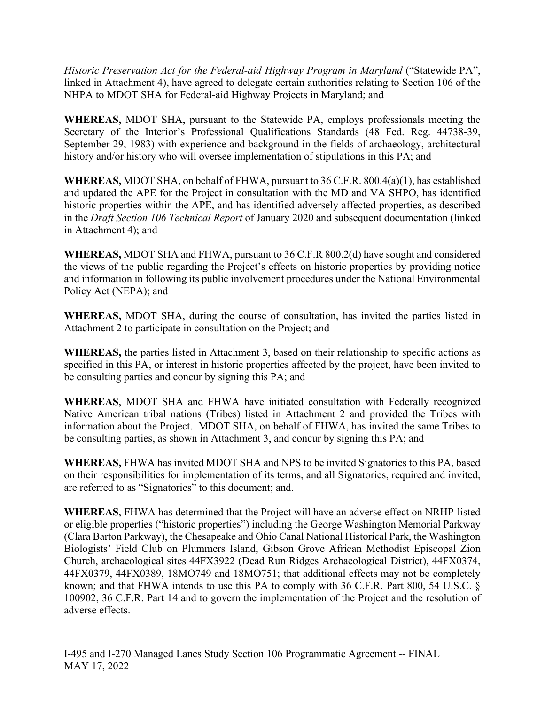*Historic Preservation Act for the Federal-aid Highway Program in Maryland* ("Statewide PA", linked in Attachment 4), have agreed to delegate certain authorities relating to Section 106 of the NHPA to MDOT SHA for Federal-aid Highway Projects in Maryland; and

**WHEREAS,** MDOT SHA, pursuant to the Statewide PA, employs professionals meeting the Secretary of the Interior's Professional Qualifications Standards (48 Fed. Reg. 44738-39, September 29, 1983) with experience and background in the fields of archaeology, architectural history and/or history who will oversee implementation of stipulations in this PA; and

**WHEREAS,** MDOT SHA, on behalf of FHWA, pursuant to 36 C.F.R. 800.4(a)(1), has established and updated the APE for the Project in consultation with the MD and VA SHPO, has identified historic properties within the APE, and has identified adversely affected properties, as described in the *Draft Section 106 Technical Report* of January 2020 and subsequent documentation (linked in Attachment 4); and

**WHEREAS,** MDOT SHA and FHWA, pursuant to 36 C.F.R 800.2(d) have sought and considered the views of the public regarding the Project's effects on historic properties by providing notice and information in following its public involvement procedures under the National Environmental Policy Act (NEPA); and

**WHEREAS,** MDOT SHA, during the course of consultation, has invited the parties listed in Attachment 2 to participate in consultation on the Project; and

**WHEREAS,** the parties listed in Attachment 3, based on their relationship to specific actions as specified in this PA, or interest in historic properties affected by the project, have been invited to be consulting parties and concur by signing this PA; and

**WHEREAS**, MDOT SHA and FHWA have initiated consultation with Federally recognized Native American tribal nations (Tribes) listed in Attachment 2 and provided the Tribes with information about the Project. MDOT SHA, on behalf of FHWA, has invited the same Tribes to be consulting parties, as shown in Attachment 3, and concur by signing this PA; and

**WHEREAS,** FHWA has invited MDOT SHA and NPS to be invited Signatories to this PA, based on their responsibilities for implementation of its terms, and all Signatories, required and invited, are referred to as "Signatories" to this document; and.

**WHEREAS**, FHWA has determined that the Project will have an adverse effect on NRHP-listed or eligible properties ("historic properties") including the George Washington Memorial Parkway (Clara Barton Parkway), the Chesapeake and Ohio Canal National Historical Park, the Washington Biologists' Field Club on Plummers Island, Gibson Grove African Methodist Episcopal Zion Church, archaeological sites 44FX3922 (Dead Run Ridges Archaeological District), 44FX0374, 44FX0379, 44FX0389, 18MO749 and 18MO751; that additional effects may not be completely known; and that FHWA intends to use this PA to comply with 36 C.F.R. Part 800, 54 U.S.C. § 100902, 36 C.F.R. Part 14 and to govern the implementation of the Project and the resolution of adverse effects.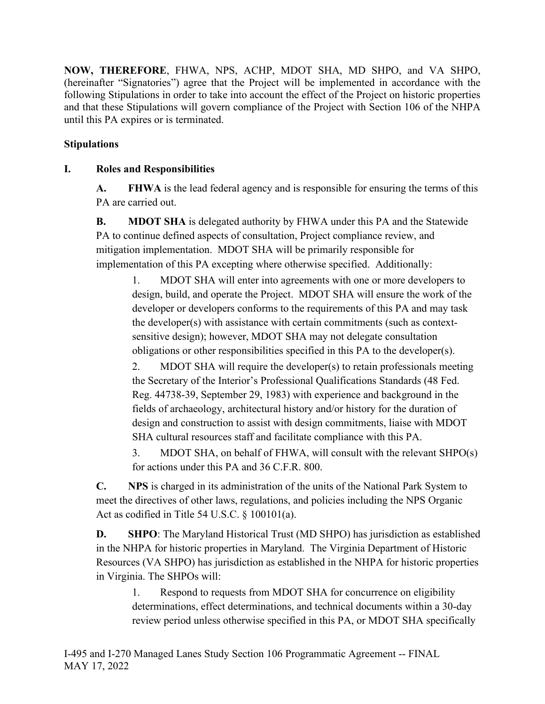**NOW, THEREFORE**, FHWA, NPS, ACHP, MDOT SHA, MD SHPO, and VA SHPO, (hereinafter "Signatories") agree that the Project will be implemented in accordance with the following Stipulations in order to take into account the effect of the Project on historic properties and that these Stipulations will govern compliance of the Project with Section 106 of the NHPA until this PA expires or is terminated.

# **Stipulations**

# **I. Roles and Responsibilities**

**A. FHWA** is the lead federal agency and is responsible for ensuring the terms of this PA are carried out.

**B. MDOT SHA** is delegated authority by FHWA under this PA and the Statewide PA to continue defined aspects of consultation, Project compliance review, and mitigation implementation. MDOT SHA will be primarily responsible for implementation of this PA excepting where otherwise specified. Additionally:

1. MDOT SHA will enter into agreements with one or more developers to design, build, and operate the Project. MDOT SHA will ensure the work of the developer or developers conforms to the requirements of this PA and may task the developer(s) with assistance with certain commitments (such as contextsensitive design); however, MDOT SHA may not delegate consultation obligations or other responsibilities specified in this PA to the developer(s).

2. MDOT SHA will require the developer(s) to retain professionals meeting the Secretary of the Interior's Professional Qualifications Standards (48 Fed. Reg. 44738-39, September 29, 1983) with experience and background in the fields of archaeology, architectural history and/or history for the duration of design and construction to assist with design commitments, liaise with MDOT SHA cultural resources staff and facilitate compliance with this PA.

3. MDOT SHA, on behalf of FHWA, will consult with the relevant SHPO(s) for actions under this PA and 36 C.F.R. 800.

**C. NPS** is charged in its administration of the units of the National Park System to meet the directives of other laws, regulations, and policies including the NPS Organic Act as codified in Title 54 U.S.C. § 100101(a).

**D. SHPO**: The Maryland Historical Trust (MD SHPO) has jurisdiction as established in the NHPA for historic properties in Maryland. The Virginia Department of Historic Resources (VA SHPO) has jurisdiction as established in the NHPA for historic properties in Virginia. The SHPOs will:

1. Respond to requests from MDOT SHA for concurrence on eligibility determinations, effect determinations, and technical documents within a 30-day review period unless otherwise specified in this PA, or MDOT SHA specifically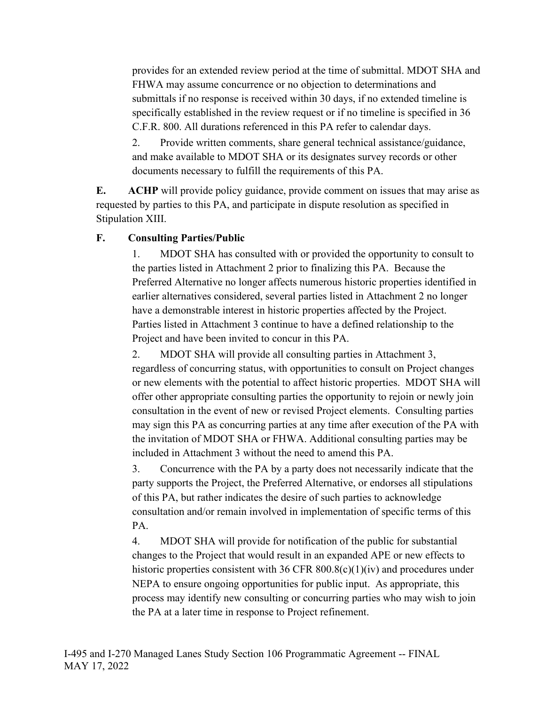provides for an extended review period at the time of submittal. MDOT SHA and FHWA may assume concurrence or no objection to determinations and submittals if no response is received within 30 days, if no extended timeline is specifically established in the review request or if no timeline is specified in 36 C.F.R. 800. All durations referenced in this PA refer to calendar days.

2. Provide written comments, share general technical assistance/guidance, and make available to MDOT SHA or its designates survey records or other documents necessary to fulfill the requirements of this PA.

**E. ACHP** will provide policy guidance, provide comment on issues that may arise as requested by parties to this PA, and participate in dispute resolution as specified in Stipulation XIII.

## **F. Consulting Parties/Public**

1. MDOT SHA has consulted with or provided the opportunity to consult to the parties listed in Attachment 2 prior to finalizing this PA. Because the Preferred Alternative no longer affects numerous historic properties identified in earlier alternatives considered, several parties listed in Attachment 2 no longer have a demonstrable interest in historic properties affected by the Project. Parties listed in Attachment 3 continue to have a defined relationship to the Project and have been invited to concur in this PA.

2. MDOT SHA will provide all consulting parties in Attachment 3, regardless of concurring status, with opportunities to consult on Project changes or new elements with the potential to affect historic properties. MDOT SHA will offer other appropriate consulting parties the opportunity to rejoin or newly join consultation in the event of new or revised Project elements. Consulting parties may sign this PA as concurring parties at any time after execution of the PA with the invitation of MDOT SHA or FHWA. Additional consulting parties may be included in Attachment 3 without the need to amend this PA.

3. Concurrence with the PA by a party does not necessarily indicate that the party supports the Project, the Preferred Alternative, or endorses all stipulations of this PA, but rather indicates the desire of such parties to acknowledge consultation and/or remain involved in implementation of specific terms of this PA.

4. MDOT SHA will provide for notification of the public for substantial changes to the Project that would result in an expanded APE or new effects to historic properties consistent with 36 CFR 800.8(c)(1)(iv) and procedures under NEPA to ensure ongoing opportunities for public input. As appropriate, this process may identify new consulting or concurring parties who may wish to join the PA at a later time in response to Project refinement.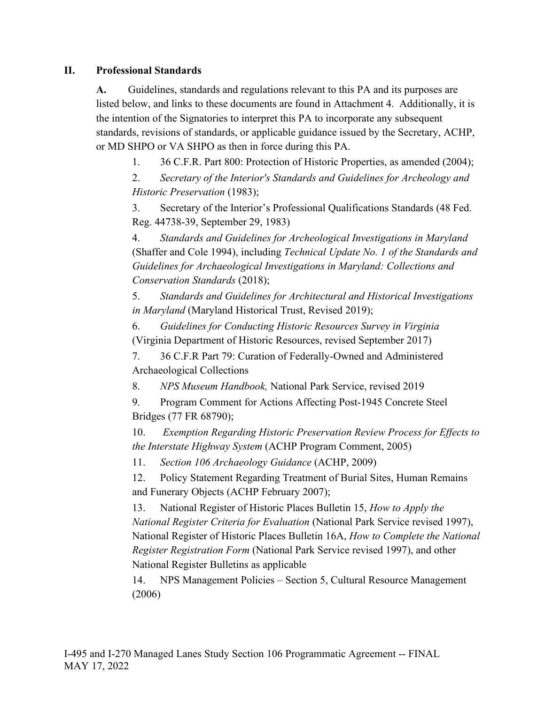### **II. Professional Standards**

**A.** Guidelines, standards and regulations relevant to this PA and its purposes are listed below, and links to these documents are found in Attachment 4. Additionally, it is the intention of the Signatories to interpret this PA to incorporate any subsequent standards, revisions of standards, or applicable guidance issued by the Secretary, ACHP, or MD SHPO or VA SHPO as then in force during this PA.

1. 36 C.F.R. Part 800: Protection of Historic Properties, as amended (2004);

2. *Secretary of the Interior's Standards and Guidelines for Archeology and Historic Preservation* (1983);

3. Secretary of the Interior's Professional Qualifications Standards (48 Fed. Reg. 44738-39, September 29, 1983)

4. *Standards and Guidelines for Archeological Investigations in Maryland* (Shaffer and Cole 1994), including *Technical Update No. 1 of the Standards and Guidelines for Archaeological Investigations in Maryland: Collections and Conservation Standards* (2018);

5. *Standards and Guidelines for Architectural and Historical Investigations in Maryland* (Maryland Historical Trust, Revised 2019);

6. *Guidelines for Conducting Historic Resources Survey in Virginia* (Virginia Department of Historic Resources, revised September 2017)

7. 36 C.F.R Part 79: Curation of Federally-Owned and Administered Archaeological Collections

8. *NPS Museum Handbook,* National Park Service, revised 2019

9. Program Comment for Actions Affecting Post-1945 Concrete Steel Bridges (77 FR 68790);

10. *Exemption Regarding Historic Preservation Review Process for Effects to the Interstate Highway System* (ACHP Program Comment, 2005)

11. *Section 106 Archaeology Guidance* (ACHP, 2009)

12. Policy Statement Regarding Treatment of Burial Sites, Human Remains and Funerary Objects (ACHP February 2007);

13. National Register of Historic Places Bulletin 15, *How to Apply the National Register Criteria for Evaluation* (National Park Service revised 1997), National Register of Historic Places Bulletin 16A, *How to Complete the National Register Registration Form* (National Park Service revised 1997), and other National Register Bulletins as applicable

14. NPS Management Policies – Section 5, Cultural Resource Management (2006)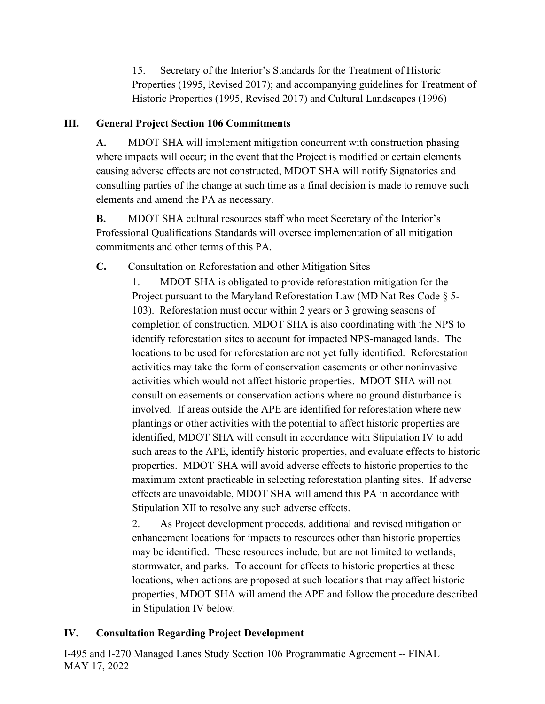15. Secretary of the Interior's Standards for the Treatment of Historic Properties (1995, Revised 2017); and accompanying guidelines for Treatment of Historic Properties (1995, Revised 2017) and Cultural Landscapes (1996)

## **III. General Project Section 106 Commitments**

**A.** MDOT SHA will implement mitigation concurrent with construction phasing where impacts will occur; in the event that the Project is modified or certain elements causing adverse effects are not constructed, MDOT SHA will notify Signatories and consulting parties of the change at such time as a final decision is made to remove such elements and amend the PA as necessary.

**B.** MDOT SHA cultural resources staff who meet Secretary of the Interior's Professional Qualifications Standards will oversee implementation of all mitigation commitments and other terms of this PA.

**C.** Consultation on Reforestation and other Mitigation Sites

1. MDOT SHA is obligated to provide reforestation mitigation for the Project pursuant to the Maryland Reforestation Law (MD Nat Res Code § 5- 103). Reforestation must occur within 2 years or 3 growing seasons of completion of construction. MDOT SHA is also coordinating with the NPS to identify reforestation sites to account for impacted NPS-managed lands. The locations to be used for reforestation are not yet fully identified. Reforestation activities may take the form of conservation easements or other noninvasive activities which would not affect historic properties. MDOT SHA will not consult on easements or conservation actions where no ground disturbance is involved. If areas outside the APE are identified for reforestation where new plantings or other activities with the potential to affect historic properties are identified, MDOT SHA will consult in accordance with Stipulation IV to add such areas to the APE, identify historic properties, and evaluate effects to historic properties. MDOT SHA will avoid adverse effects to historic properties to the maximum extent practicable in selecting reforestation planting sites. If adverse effects are unavoidable, MDOT SHA will amend this PA in accordance with Stipulation XII to resolve any such adverse effects.

2. As Project development proceeds, additional and revised mitigation or enhancement locations for impacts to resources other than historic properties may be identified. These resources include, but are not limited to wetlands, stormwater, and parks. To account for effects to historic properties at these locations, when actions are proposed at such locations that may affect historic properties, MDOT SHA will amend the APE and follow the procedure described in Stipulation IV below.

## **IV. Consultation Regarding Project Development**

I-495 and I-270 Managed Lanes Study Section 106 Programmatic Agreement -- FINAL MAY 17, 2022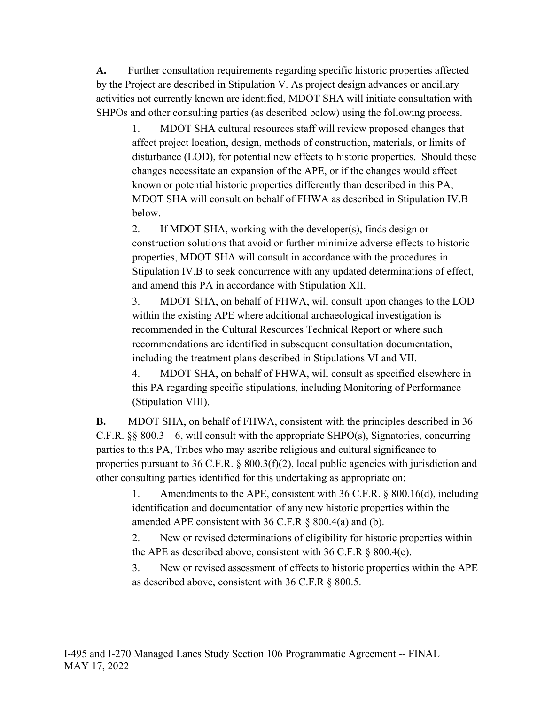**A.** Further consultation requirements regarding specific historic properties affected by the Project are described in Stipulation V. As project design advances or ancillary activities not currently known are identified, MDOT SHA will initiate consultation with SHPOs and other consulting parties (as described below) using the following process.

1. MDOT SHA cultural resources staff will review proposed changes that affect project location, design, methods of construction, materials, or limits of disturbance (LOD), for potential new effects to historic properties. Should these changes necessitate an expansion of the APE, or if the changes would affect known or potential historic properties differently than described in this PA, MDOT SHA will consult on behalf of FHWA as described in Stipulation IV.B below.

2. If MDOT SHA, working with the developer(s), finds design or construction solutions that avoid or further minimize adverse effects to historic properties, MDOT SHA will consult in accordance with the procedures in Stipulation IV.B to seek concurrence with any updated determinations of effect, and amend this PA in accordance with Stipulation XII.

3. MDOT SHA, on behalf of FHWA, will consult upon changes to the LOD within the existing APE where additional archaeological investigation is recommended in the Cultural Resources Technical Report or where such recommendations are identified in subsequent consultation documentation, including the treatment plans described in Stipulations VI and VII.

4. MDOT SHA, on behalf of FHWA, will consult as specified elsewhere in this PA regarding specific stipulations, including Monitoring of Performance (Stipulation VIII).

**B.** MDOT SHA, on behalf of FHWA, consistent with the principles described in 36 C.F.R.  $\S$ § 800.3 – 6, will consult with the appropriate SHPO(s), Signatories, concurring parties to this PA, Tribes who may ascribe religious and cultural significance to properties pursuant to 36 C.F.R. § 800.3(f)(2), local public agencies with jurisdiction and other consulting parties identified for this undertaking as appropriate on:

1. Amendments to the APE, consistent with 36 C.F.R. § 800.16(d), including identification and documentation of any new historic properties within the amended APE consistent with  $36$  C.F.R  $\S$  800.4(a) and (b).

2. New or revised determinations of eligibility for historic properties within the APE as described above, consistent with  $36$  C.F.R  $\S$  800.4(c).

3. New or revised assessment of effects to historic properties within the APE as described above, consistent with 36 C.F.R § 800.5.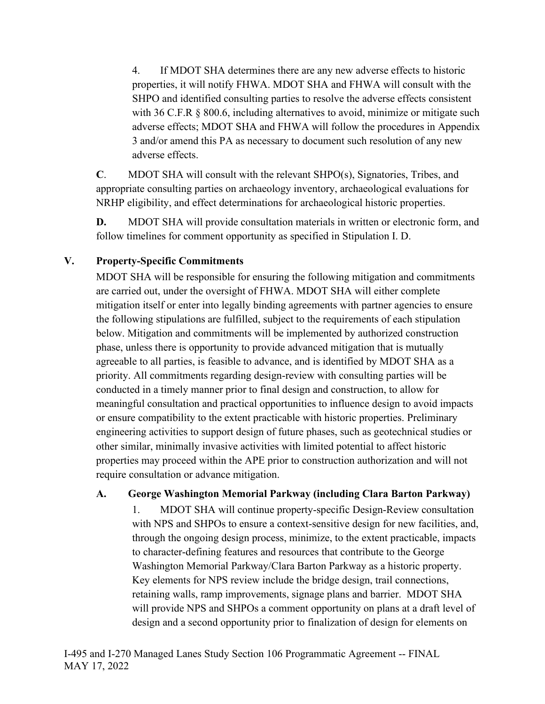4. If MDOT SHA determines there are any new adverse effects to historic properties, it will notify FHWA. MDOT SHA and FHWA will consult with the SHPO and identified consulting parties to resolve the adverse effects consistent with 36 C.F.R § 800.6, including alternatives to avoid, minimize or mitigate such adverse effects; MDOT SHA and FHWA will follow the procedures in Appendix 3 and/or amend this PA as necessary to document such resolution of any new adverse effects.

**C**. MDOT SHA will consult with the relevant SHPO(s), Signatories, Tribes, and appropriate consulting parties on archaeology inventory, archaeological evaluations for NRHP eligibility, and effect determinations for archaeological historic properties.

**D.** MDOT SHA will provide consultation materials in written or electronic form, and follow timelines for comment opportunity as specified in Stipulation I. D.

# **V. Property-Specific Commitments**

MDOT SHA will be responsible for ensuring the following mitigation and commitments are carried out, under the oversight of FHWA. MDOT SHA will either complete mitigation itself or enter into legally binding agreements with partner agencies to ensure the following stipulations are fulfilled, subject to the requirements of each stipulation below. Mitigation and commitments will be implemented by authorized construction phase, unless there is opportunity to provide advanced mitigation that is mutually agreeable to all parties, is feasible to advance, and is identified by MDOT SHA as a priority. All commitments regarding design-review with consulting parties will be conducted in a timely manner prior to final design and construction, to allow for meaningful consultation and practical opportunities to influence design to avoid impacts or ensure compatibility to the extent practicable with historic properties. Preliminary engineering activities to support design of future phases, such as geotechnical studies or other similar, minimally invasive activities with limited potential to affect historic properties may proceed within the APE prior to construction authorization and will not require consultation or advance mitigation.

## **A. George Washington Memorial Parkway (including Clara Barton Parkway)**

1. MDOT SHA will continue property-specific Design-Review consultation with NPS and SHPOs to ensure a context-sensitive design for new facilities, and, through the ongoing design process, minimize, to the extent practicable, impacts to character-defining features and resources that contribute to the George Washington Memorial Parkway/Clara Barton Parkway as a historic property. Key elements for NPS review include the bridge design, trail connections, retaining walls, ramp improvements, signage plans and barrier. MDOT SHA will provide NPS and SHPOs a comment opportunity on plans at a draft level of design and a second opportunity prior to finalization of design for elements on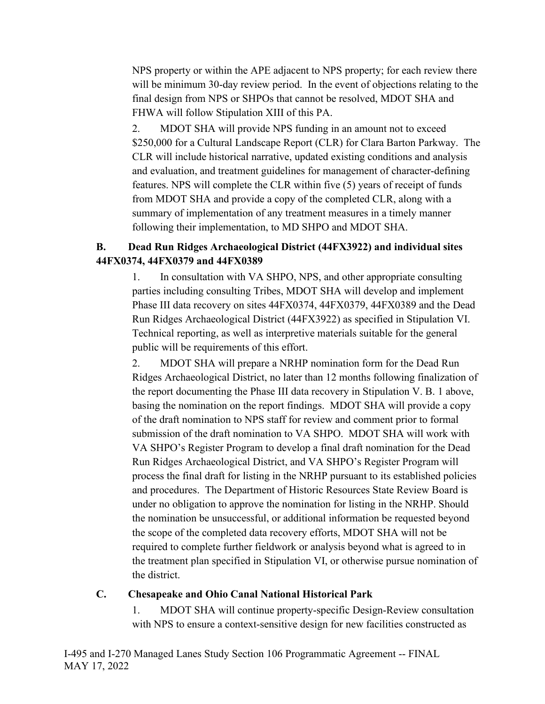NPS property or within the APE adjacent to NPS property; for each review there will be minimum 30-day review period. In the event of objections relating to the final design from NPS or SHPOs that cannot be resolved, MDOT SHA and FHWA will follow Stipulation XIII of this PA.

2. MDOT SHA will provide NPS funding in an amount not to exceed \$250,000 for a Cultural Landscape Report (CLR) for Clara Barton Parkway. The CLR will include historical narrative, updated existing conditions and analysis and evaluation, and treatment guidelines for management of character-defining features. NPS will complete the CLR within five (5) years of receipt of funds from MDOT SHA and provide a copy of the completed CLR, along with a summary of implementation of any treatment measures in a timely manner following their implementation, to MD SHPO and MDOT SHA.

# **B. Dead Run Ridges Archaeological District (44FX3922) and individual sites 44FX0374, 44FX0379 and 44FX0389**

1. In consultation with VA SHPO, NPS, and other appropriate consulting parties including consulting Tribes, MDOT SHA will develop and implement Phase III data recovery on sites 44FX0374, 44FX0379, 44FX0389 and the Dead Run Ridges Archaeological District (44FX3922) as specified in Stipulation VI. Technical reporting, as well as interpretive materials suitable for the general public will be requirements of this effort.

2. MDOT SHA will prepare a NRHP nomination form for the Dead Run Ridges Archaeological District, no later than 12 months following finalization of the report documenting the Phase III data recovery in Stipulation V. B. 1 above, basing the nomination on the report findings. MDOT SHA will provide a copy of the draft nomination to NPS staff for review and comment prior to formal submission of the draft nomination to VA SHPO. MDOT SHA will work with VA SHPO's Register Program to develop a final draft nomination for the Dead Run Ridges Archaeological District, and VA SHPO's Register Program will process the final draft for listing in the NRHP pursuant to its established policies and procedures. The Department of Historic Resources State Review Board is under no obligation to approve the nomination for listing in the NRHP. Should the nomination be unsuccessful, or additional information be requested beyond the scope of the completed data recovery efforts, MDOT SHA will not be required to complete further fieldwork or analysis beyond what is agreed to in the treatment plan specified in Stipulation VI, or otherwise pursue nomination of the district.

#### **C. Chesapeake and Ohio Canal National Historical Park**

1. MDOT SHA will continue property-specific Design-Review consultation with NPS to ensure a context-sensitive design for new facilities constructed as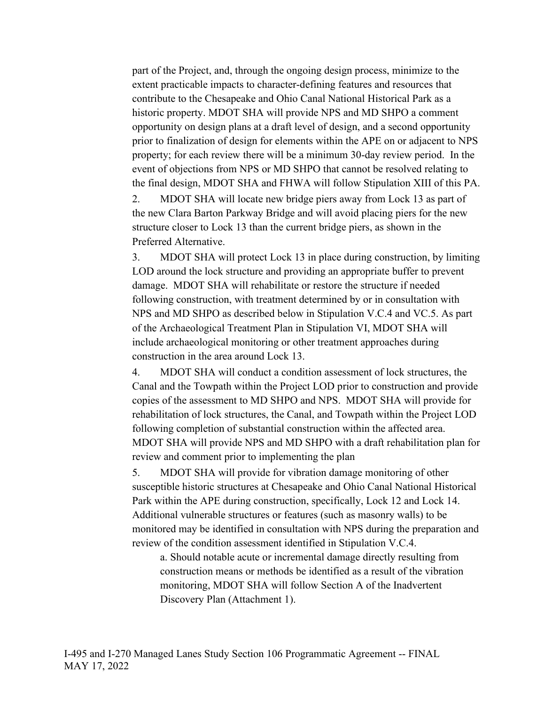part of the Project, and, through the ongoing design process, minimize to the extent practicable impacts to character-defining features and resources that contribute to the Chesapeake and Ohio Canal National Historical Park as a historic property. MDOT SHA will provide NPS and MD SHPO a comment opportunity on design plans at a draft level of design, and a second opportunity prior to finalization of design for elements within the APE on or adjacent to NPS property; for each review there will be a minimum 30-day review period. In the event of objections from NPS or MD SHPO that cannot be resolved relating to the final design, MDOT SHA and FHWA will follow Stipulation XIII of this PA.

2. MDOT SHA will locate new bridge piers away from Lock 13 as part of the new Clara Barton Parkway Bridge and will avoid placing piers for the new structure closer to Lock 13 than the current bridge piers, as shown in the Preferred Alternative.

3. MDOT SHA will protect Lock 13 in place during construction, by limiting LOD around the lock structure and providing an appropriate buffer to prevent damage. MDOT SHA will rehabilitate or restore the structure if needed following construction, with treatment determined by or in consultation with NPS and MD SHPO as described below in Stipulation V.C.4 and VC.5. As part of the Archaeological Treatment Plan in Stipulation VI, MDOT SHA will include archaeological monitoring or other treatment approaches during construction in the area around Lock 13.

4. MDOT SHA will conduct a condition assessment of lock structures, the Canal and the Towpath within the Project LOD prior to construction and provide copies of the assessment to MD SHPO and NPS. MDOT SHA will provide for rehabilitation of lock structures, the Canal, and Towpath within the Project LOD following completion of substantial construction within the affected area. MDOT SHA will provide NPS and MD SHPO with a draft rehabilitation plan for review and comment prior to implementing the plan

5. MDOT SHA will provide for vibration damage monitoring of other susceptible historic structures at Chesapeake and Ohio Canal National Historical Park within the APE during construction, specifically, Lock 12 and Lock 14. Additional vulnerable structures or features (such as masonry walls) to be monitored may be identified in consultation with NPS during the preparation and review of the condition assessment identified in Stipulation V.C.4.

a. Should notable acute or incremental damage directly resulting from construction means or methods be identified as a result of the vibration monitoring, MDOT SHA will follow Section A of the Inadvertent Discovery Plan (Attachment 1).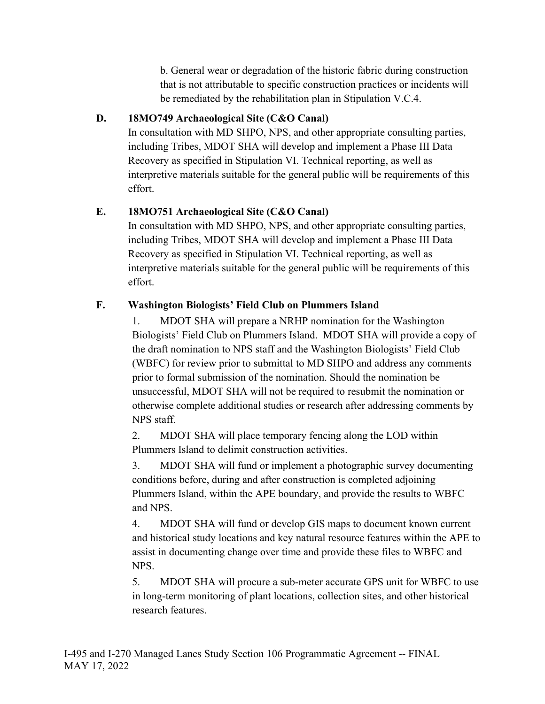b. General wear or degradation of the historic fabric during construction that is not attributable to specific construction practices or incidents will be remediated by the rehabilitation plan in Stipulation V.C.4.

# **D. 18MO749 Archaeological Site (C&O Canal)**

In consultation with MD SHPO, NPS, and other appropriate consulting parties, including Tribes, MDOT SHA will develop and implement a Phase III Data Recovery as specified in Stipulation VI. Technical reporting, as well as interpretive materials suitable for the general public will be requirements of this effort.

# **E. 18MO751 Archaeological Site (C&O Canal)**

In consultation with MD SHPO, NPS, and other appropriate consulting parties, including Tribes, MDOT SHA will develop and implement a Phase III Data Recovery as specified in Stipulation VI. Technical reporting, as well as interpretive materials suitable for the general public will be requirements of this effort.

# **F. Washington Biologists' Field Club on Plummers Island**

1. MDOT SHA will prepare a NRHP nomination for the Washington Biologists' Field Club on Plummers Island. MDOT SHA will provide a copy of the draft nomination to NPS staff and the Washington Biologists' Field Club (WBFC) for review prior to submittal to MD SHPO and address any comments prior to formal submission of the nomination. Should the nomination be unsuccessful, MDOT SHA will not be required to resubmit the nomination or otherwise complete additional studies or research after addressing comments by NPS staff.

2. MDOT SHA will place temporary fencing along the LOD within Plummers Island to delimit construction activities.

3. MDOT SHA will fund or implement a photographic survey documenting conditions before, during and after construction is completed adjoining Plummers Island, within the APE boundary, and provide the results to WBFC and NPS.

4. MDOT SHA will fund or develop GIS maps to document known current and historical study locations and key natural resource features within the APE to assist in documenting change over time and provide these files to WBFC and NPS.

5. MDOT SHA will procure a sub-meter accurate GPS unit for WBFC to use in long-term monitoring of plant locations, collection sites, and other historical research features.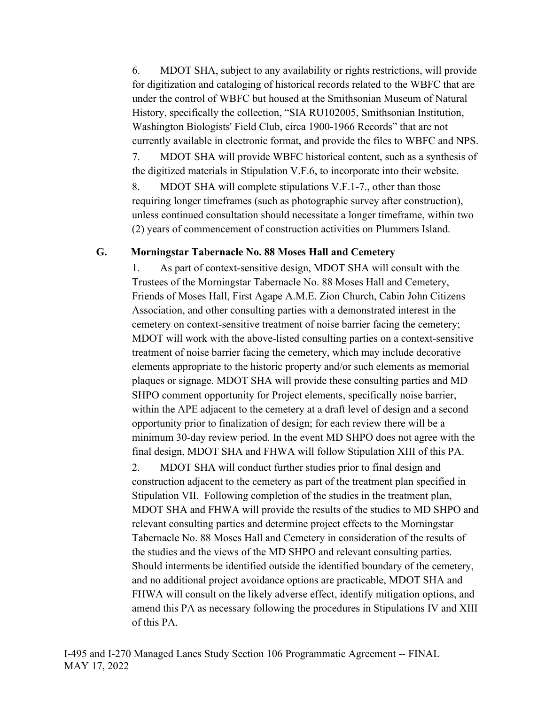6. MDOT SHA, subject to any availability or rights restrictions, will provide for digitization and cataloging of historical records related to the WBFC that are under the control of WBFC but housed at the Smithsonian Museum of Natural History, specifically the collection, "SIA RU102005, Smithsonian Institution, Washington Biologists' Field Club, circa 1900-1966 Records" that are not currently available in electronic format, and provide the files to WBFC and NPS. 7. MDOT SHA will provide WBFC historical content, such as a synthesis of the digitized materials in Stipulation V.F.6, to incorporate into their website.

8. MDOT SHA will complete stipulations V.F.1-7., other than those requiring longer timeframes (such as photographic survey after construction), unless continued consultation should necessitate a longer timeframe, within two (2) years of commencement of construction activities on Plummers Island.

#### **G. Morningstar Tabernacle No. 88 Moses Hall and Cemetery**

1. As part of context-sensitive design, MDOT SHA will consult with the Trustees of the Morningstar Tabernacle No. 88 Moses Hall and Cemetery, Friends of Moses Hall, First Agape A.M.E. Zion Church, Cabin John Citizens Association, and other consulting parties with a demonstrated interest in the cemetery on context-sensitive treatment of noise barrier facing the cemetery; MDOT will work with the above-listed consulting parties on a context-sensitive treatment of noise barrier facing the cemetery, which may include decorative elements appropriate to the historic property and/or such elements as memorial plaques or signage. MDOT SHA will provide these consulting parties and MD SHPO comment opportunity for Project elements, specifically noise barrier, within the APE adjacent to the cemetery at a draft level of design and a second opportunity prior to finalization of design; for each review there will be a minimum 30-day review period. In the event MD SHPO does not agree with the final design, MDOT SHA and FHWA will follow Stipulation XIII of this PA.

2. MDOT SHA will conduct further studies prior to final design and construction adjacent to the cemetery as part of the treatment plan specified in Stipulation VII. Following completion of the studies in the treatment plan, MDOT SHA and FHWA will provide the results of the studies to MD SHPO and relevant consulting parties and determine project effects to the Morningstar Tabernacle No. 88 Moses Hall and Cemetery in consideration of the results of the studies and the views of the MD SHPO and relevant consulting parties. Should interments be identified outside the identified boundary of the cemetery, and no additional project avoidance options are practicable, MDOT SHA and FHWA will consult on the likely adverse effect, identify mitigation options, and amend this PA as necessary following the procedures in Stipulations IV and XIII of this PA.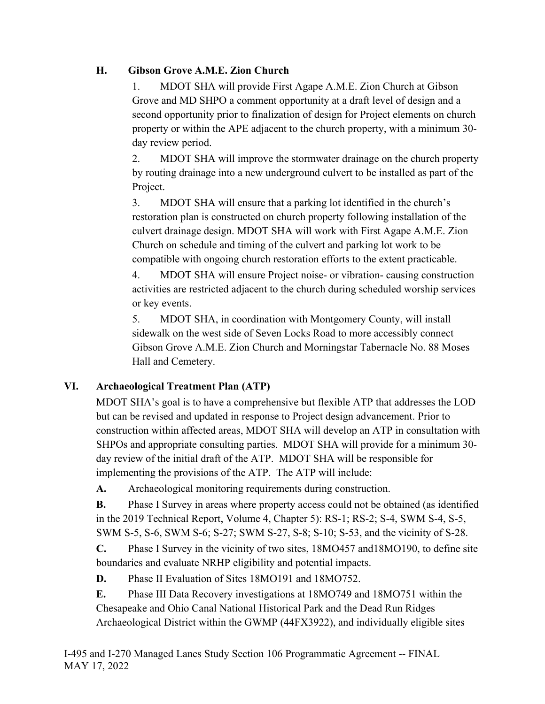# **H. Gibson Grove A.M.E. Zion Church**

1. MDOT SHA will provide First Agape A.M.E. Zion Church at Gibson Grove and MD SHPO a comment opportunity at a draft level of design and a second opportunity prior to finalization of design for Project elements on church property or within the APE adjacent to the church property, with a minimum 30 day review period.

2. MDOT SHA will improve the stormwater drainage on the church property by routing drainage into a new underground culvert to be installed as part of the Project.

3. MDOT SHA will ensure that a parking lot identified in the church's restoration plan is constructed on church property following installation of the culvert drainage design. MDOT SHA will work with First Agape A.M.E. Zion Church on schedule and timing of the culvert and parking lot work to be compatible with ongoing church restoration efforts to the extent practicable.

4. MDOT SHA will ensure Project noise- or vibration- causing construction activities are restricted adjacent to the church during scheduled worship services or key events.

5. MDOT SHA, in coordination with Montgomery County, will install sidewalk on the west side of Seven Locks Road to more accessibly connect Gibson Grove A.M.E. Zion Church and Morningstar Tabernacle No. 88 Moses Hall and Cemetery.

# **VI. Archaeological Treatment Plan (ATP)**

MDOT SHA's goal is to have a comprehensive but flexible ATP that addresses the LOD but can be revised and updated in response to Project design advancement. Prior to construction within affected areas, MDOT SHA will develop an ATP in consultation with SHPOs and appropriate consulting parties. MDOT SHA will provide for a minimum 30 day review of the initial draft of the ATP. MDOT SHA will be responsible for implementing the provisions of the ATP. The ATP will include:

**A.** Archaeological monitoring requirements during construction.

**B.** Phase I Survey in areas where property access could not be obtained (as identified in the 2019 Technical Report, Volume 4, Chapter 5): RS-1; RS-2; S-4, SWM S-4, S-5, SWM S-5, S-6, SWM S-6; S-27; SWM S-27, S-8; S-10; S-53, and the vicinity of S-28.

**C.** Phase I Survey in the vicinity of two sites, 18MO457 and18MO190, to define site boundaries and evaluate NRHP eligibility and potential impacts.

**D.** Phase II Evaluation of Sites 18MO191 and 18MO752.

**E.** Phase III Data Recovery investigations at 18MO749 and 18MO751 within the Chesapeake and Ohio Canal National Historical Park and the Dead Run Ridges Archaeological District within the GWMP (44FX3922), and individually eligible sites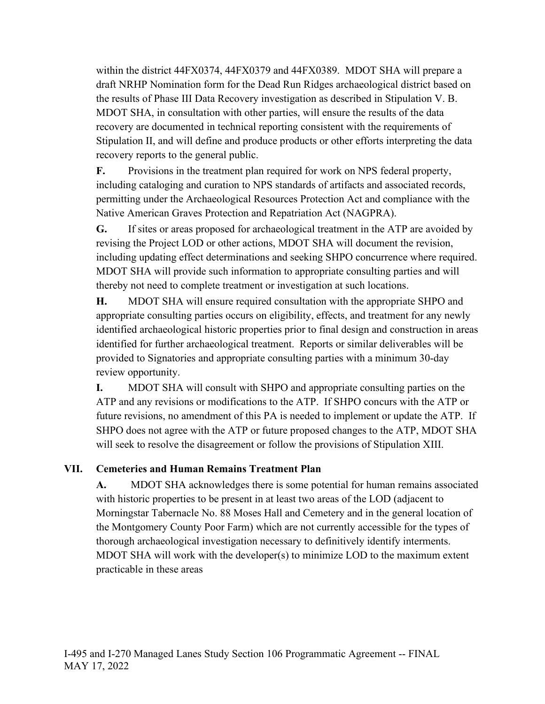within the district 44FX0374, 44FX0379 and 44FX0389. MDOT SHA will prepare a draft NRHP Nomination form for the Dead Run Ridges archaeological district based on the results of Phase III Data Recovery investigation as described in Stipulation V. B. MDOT SHA, in consultation with other parties, will ensure the results of the data recovery are documented in technical reporting consistent with the requirements of Stipulation II, and will define and produce products or other efforts interpreting the data recovery reports to the general public.

**F.** Provisions in the treatment plan required for work on NPS federal property, including cataloging and curation to NPS standards of artifacts and associated records, permitting under the Archaeological Resources Protection Act and compliance with the Native American Graves Protection and Repatriation Act (NAGPRA).

**G.** If sites or areas proposed for archaeological treatment in the ATP are avoided by revising the Project LOD or other actions, MDOT SHA will document the revision, including updating effect determinations and seeking SHPO concurrence where required. MDOT SHA will provide such information to appropriate consulting parties and will thereby not need to complete treatment or investigation at such locations.

**H.** MDOT SHA will ensure required consultation with the appropriate SHPO and appropriate consulting parties occurs on eligibility, effects, and treatment for any newly identified archaeological historic properties prior to final design and construction in areas identified for further archaeological treatment. Reports or similar deliverables will be provided to Signatories and appropriate consulting parties with a minimum 30-day review opportunity.

**I.** MDOT SHA will consult with SHPO and appropriate consulting parties on the ATP and any revisions or modifications to the ATP. If SHPO concurs with the ATP or future revisions, no amendment of this PA is needed to implement or update the ATP. If SHPO does not agree with the ATP or future proposed changes to the ATP, MDOT SHA will seek to resolve the disagreement or follow the provisions of Stipulation XIII.

## **VII. Cemeteries and Human Remains Treatment Plan**

**A.** MDOT SHA acknowledges there is some potential for human remains associated with historic properties to be present in at least two areas of the LOD (adjacent to Morningstar Tabernacle No. 88 Moses Hall and Cemetery and in the general location of the Montgomery County Poor Farm) which are not currently accessible for the types of thorough archaeological investigation necessary to definitively identify interments. MDOT SHA will work with the developer(s) to minimize LOD to the maximum extent practicable in these areas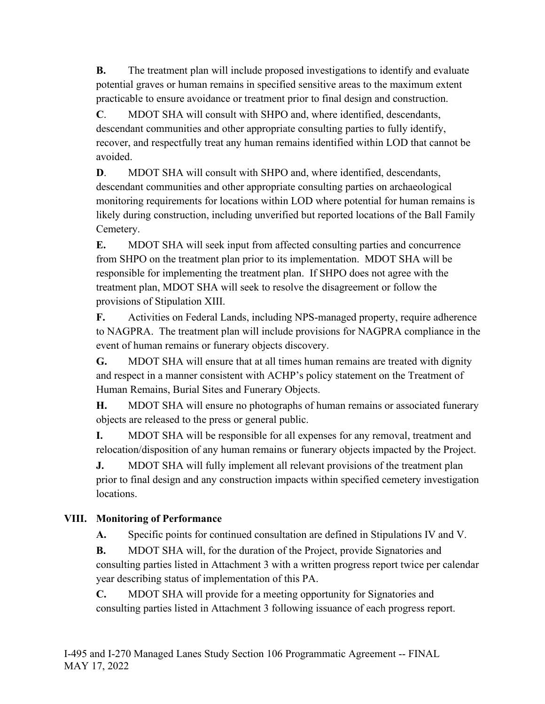**B.** The treatment plan will include proposed investigations to identify and evaluate potential graves or human remains in specified sensitive areas to the maximum extent practicable to ensure avoidance or treatment prior to final design and construction.

**C**. MDOT SHA will consult with SHPO and, where identified, descendants, descendant communities and other appropriate consulting parties to fully identify, recover, and respectfully treat any human remains identified within LOD that cannot be avoided.

**D.** MDOT SHA will consult with SHPO and, where identified, descendants, descendant communities and other appropriate consulting parties on archaeological monitoring requirements for locations within LOD where potential for human remains is likely during construction, including unverified but reported locations of the Ball Family Cemetery.

**E.** MDOT SHA will seek input from affected consulting parties and concurrence from SHPO on the treatment plan prior to its implementation. MDOT SHA will be responsible for implementing the treatment plan. If SHPO does not agree with the treatment plan, MDOT SHA will seek to resolve the disagreement or follow the provisions of Stipulation XIII.

**F.** Activities on Federal Lands, including NPS-managed property, require adherence to NAGPRA. The treatment plan will include provisions for NAGPRA compliance in the event of human remains or funerary objects discovery.

**G.** MDOT SHA will ensure that at all times human remains are treated with dignity and respect in a manner consistent with ACHP's policy statement on the Treatment of Human Remains, Burial Sites and Funerary Objects.

**H.** MDOT SHA will ensure no photographs of human remains or associated funerary objects are released to the press or general public.

**I.** MDOT SHA will be responsible for all expenses for any removal, treatment and relocation/disposition of any human remains or funerary objects impacted by the Project.

**J.** MDOT SHA will fully implement all relevant provisions of the treatment plan prior to final design and any construction impacts within specified cemetery investigation locations.

# **VIII. Monitoring of Performance**

**A.** Specific points for continued consultation are defined in Stipulations IV and V.

**B.** MDOT SHA will, for the duration of the Project, provide Signatories and consulting parties listed in Attachment 3 with a written progress report twice per calendar year describing status of implementation of this PA.

**C.** MDOT SHA will provide for a meeting opportunity for Signatories and consulting parties listed in Attachment 3 following issuance of each progress report.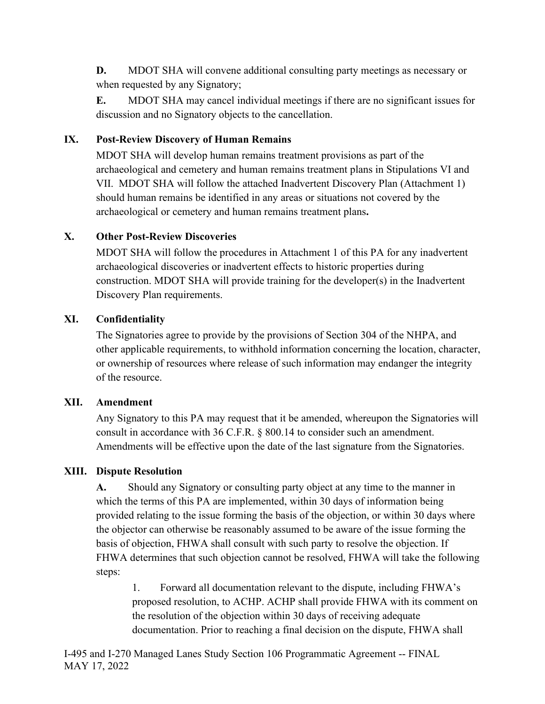**D.** MDOT SHA will convene additional consulting party meetings as necessary or when requested by any Signatory;

**E.** MDOT SHA may cancel individual meetings if there are no significant issues for discussion and no Signatory objects to the cancellation.

# **IX. Post-Review Discovery of Human Remains**

MDOT SHA will develop human remains treatment provisions as part of the archaeological and cemetery and human remains treatment plans in Stipulations VI and VII. MDOT SHA will follow the attached Inadvertent Discovery Plan (Attachment 1) should human remains be identified in any areas or situations not covered by the archaeological or cemetery and human remains treatment plans**.**

# **X. Other Post-Review Discoveries**

MDOT SHA will follow the procedures in Attachment 1 of this PA for any inadvertent archaeological discoveries or inadvertent effects to historic properties during construction. MDOT SHA will provide training for the developer(s) in the Inadvertent Discovery Plan requirements.

# **XI. Confidentiality**

The Signatories agree to provide by the provisions of Section 304 of the NHPA, and other applicable requirements, to withhold information concerning the location, character, or ownership of resources where release of such information may endanger the integrity of the resource.

## **XII. Amendment**

Any Signatory to this PA may request that it be amended, whereupon the Signatories will consult in accordance with 36 C.F.R. § 800.14 to consider such an amendment. Amendments will be effective upon the date of the last signature from the Signatories.

# **XIII. Dispute Resolution**

**A.** Should any Signatory or consulting party object at any time to the manner in which the terms of this PA are implemented, within 30 days of information being provided relating to the issue forming the basis of the objection, or within 30 days where the objector can otherwise be reasonably assumed to be aware of the issue forming the basis of objection, FHWA shall consult with such party to resolve the objection. If FHWA determines that such objection cannot be resolved, FHWA will take the following steps:

1. Forward all documentation relevant to the dispute, including FHWA's proposed resolution, to ACHP. ACHP shall provide FHWA with its comment on the resolution of the objection within 30 days of receiving adequate documentation. Prior to reaching a final decision on the dispute, FHWA shall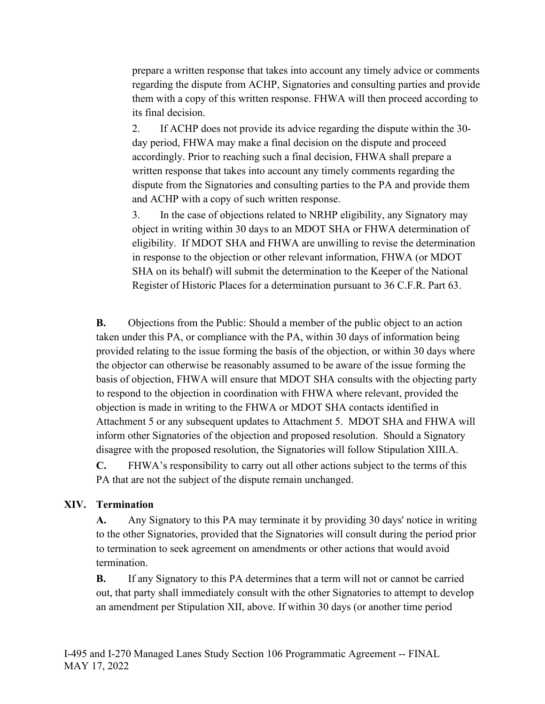prepare a written response that takes into account any timely advice or comments regarding the dispute from ACHP, Signatories and consulting parties and provide them with a copy of this written response. FHWA will then proceed according to its final decision.

2. If ACHP does not provide its advice regarding the dispute within the 30 day period, FHWA may make a final decision on the dispute and proceed accordingly. Prior to reaching such a final decision, FHWA shall prepare a written response that takes into account any timely comments regarding the dispute from the Signatories and consulting parties to the PA and provide them and ACHP with a copy of such written response.

3. In the case of objections related to NRHP eligibility, any Signatory may object in writing within 30 days to an MDOT SHA or FHWA determination of eligibility. If MDOT SHA and FHWA are unwilling to revise the determination in response to the objection or other relevant information, FHWA (or MDOT SHA on its behalf) will submit the determination to the Keeper of the National Register of Historic Places for a determination pursuant to 36 C.F.R. Part 63.

**B.** Objections from the Public: Should a member of the public object to an action taken under this PA, or compliance with the PA, within 30 days of information being provided relating to the issue forming the basis of the objection, or within 30 days where the objector can otherwise be reasonably assumed to be aware of the issue forming the basis of objection, FHWA will ensure that MDOT SHA consults with the objecting party to respond to the objection in coordination with FHWA where relevant, provided the objection is made in writing to the FHWA or MDOT SHA contacts identified in Attachment 5 or any subsequent updates to Attachment 5. MDOT SHA and FHWA will inform other Signatories of the objection and proposed resolution. Should a Signatory disagree with the proposed resolution, the Signatories will follow Stipulation XIII.A.

**C.** FHWA's responsibility to carry out all other actions subject to the terms of this PA that are not the subject of the dispute remain unchanged.

## **XIV. Termination**

**A.** Any Signatory to this PA may terminate it by providing 30 days' notice in writing to the other Signatories, provided that the Signatories will consult during the period prior to termination to seek agreement on amendments or other actions that would avoid termination.

**B.** If any Signatory to this PA determines that a term will not or cannot be carried out, that party shall immediately consult with the other Signatories to attempt to develop an amendment per Stipulation XII, above. If within 30 days (or another time period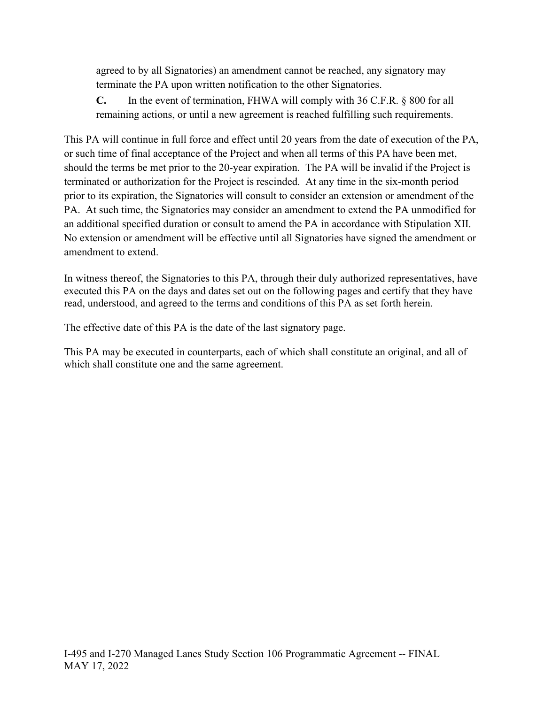agreed to by all Signatories) an amendment cannot be reached, any signatory may terminate the PA upon written notification to the other Signatories.

**C.** In the event of termination, FHWA will comply with 36 C.F.R. § 800 for all remaining actions, or until a new agreement is reached fulfilling such requirements.

This PA will continue in full force and effect until 20 years from the date of execution of the PA, or such time of final acceptance of the Project and when all terms of this PA have been met, should the terms be met prior to the 20-year expiration. The PA will be invalid if the Project is terminated or authorization for the Project is rescinded. At any time in the six-month period prior to its expiration, the Signatories will consult to consider an extension or amendment of the PA. At such time, the Signatories may consider an amendment to extend the PA unmodified for an additional specified duration or consult to amend the PA in accordance with Stipulation XII. No extension or amendment will be effective until all Signatories have signed the amendment or amendment to extend.

In witness thereof, the Signatories to this PA, through their duly authorized representatives, have executed this PA on the days and dates set out on the following pages and certify that they have read, understood, and agreed to the terms and conditions of this PA as set forth herein.

The effective date of this PA is the date of the last signatory page.

This PA may be executed in counterparts, each of which shall constitute an original, and all of which shall constitute one and the same agreement.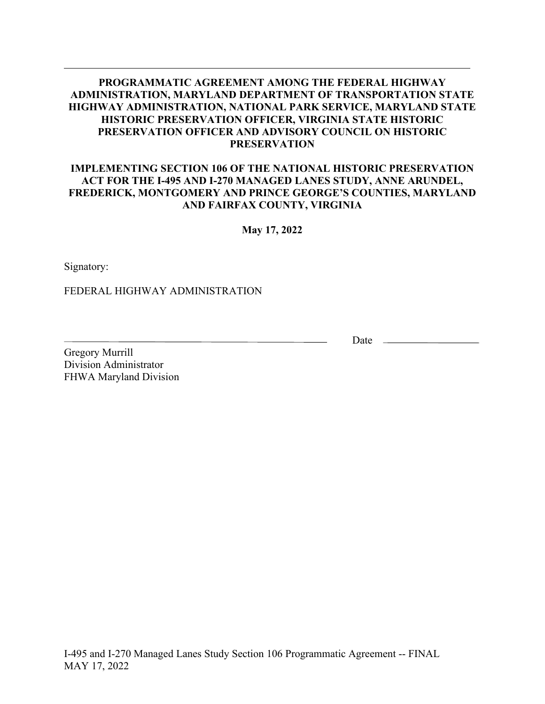#### **IMPLEMENTING SECTION 106 OF THE NATIONAL HISTORIC PRESERVATION ACT FOR THE I-495 AND I-270 MANAGED LANES STUDY, ANNE ARUNDEL, FREDERICK, MONTGOMERY AND PRINCE GEORGE'S COUNTIES, MARYLAND AND FAIRFAX COUNTY, VIRGINIA**

**May 17, 2022**

Signatory:

FEDERAL HIGHWAY ADMINISTRATION

Date  $\_\_$ 

Gregory Murrill Division Administrator FHWA Maryland Division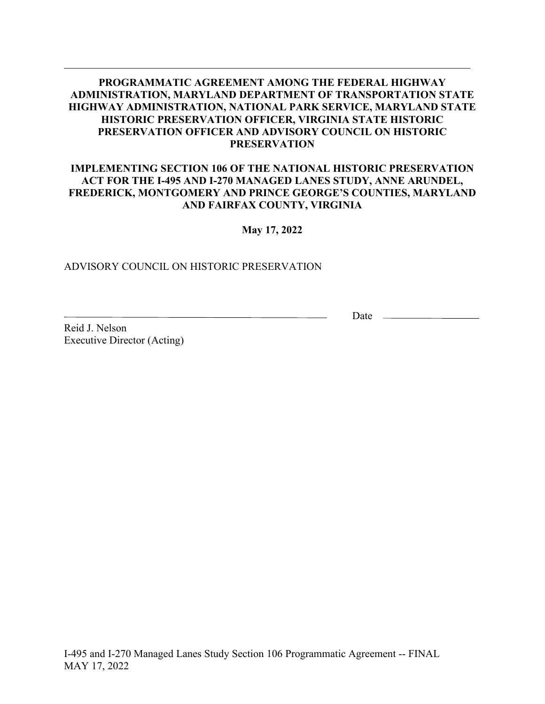#### **IMPLEMENTING SECTION 106 OF THE NATIONAL HISTORIC PRESERVATION ACT FOR THE I-495 AND I-270 MANAGED LANES STUDY, ANNE ARUNDEL, FREDERICK, MONTGOMERY AND PRINCE GEORGE'S COUNTIES, MARYLAND AND FAIRFAX COUNTY, VIRGINIA**

#### **May 17, 2022**

#### ADVISORY COUNCIL ON HISTORIC PRESERVATION

Date  $\_\_$ 

Reid J. Nelson Executive Director (Acting)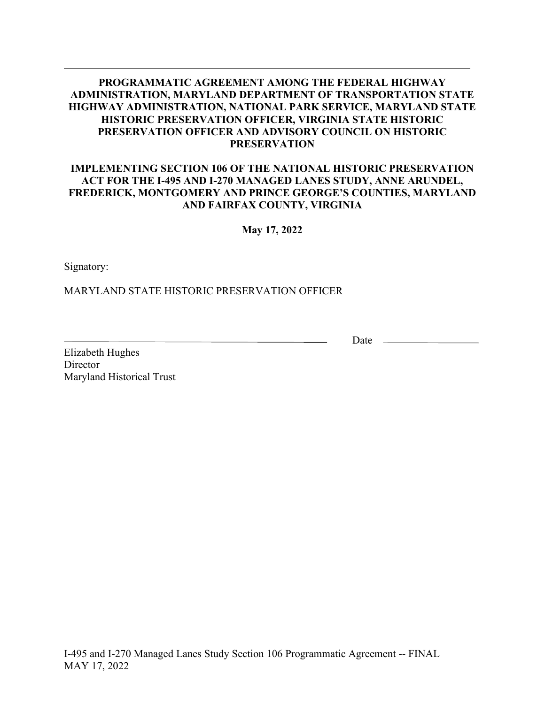#### **IMPLEMENTING SECTION 106 OF THE NATIONAL HISTORIC PRESERVATION ACT FOR THE I-495 AND I-270 MANAGED LANES STUDY, ANNE ARUNDEL, FREDERICK, MONTGOMERY AND PRINCE GEORGE'S COUNTIES, MARYLAND AND FAIRFAX COUNTY, VIRGINIA**

**May 17, 2022**

Signatory:

MARYLAND STATE HISTORIC PRESERVATION OFFICER

Date  $\_\_$ 

Elizabeth Hughes **Director** Maryland Historical Trust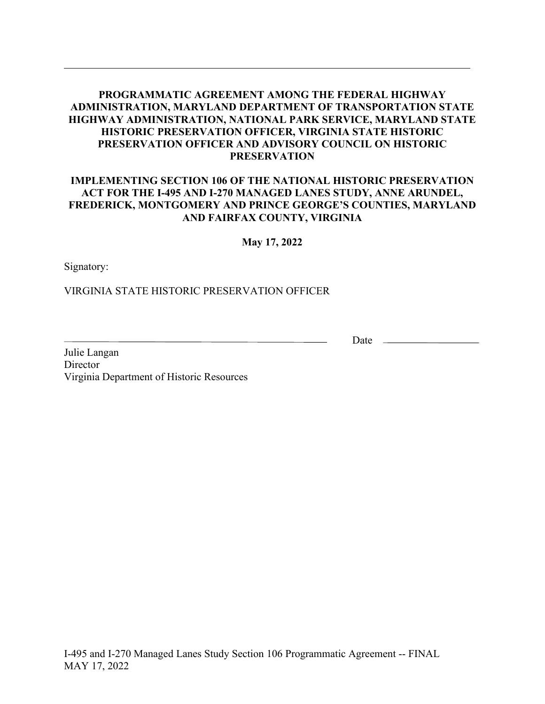#### **IMPLEMENTING SECTION 106 OF THE NATIONAL HISTORIC PRESERVATION ACT FOR THE I-495 AND I-270 MANAGED LANES STUDY, ANNE ARUNDEL, FREDERICK, MONTGOMERY AND PRINCE GEORGE'S COUNTIES, MARYLAND AND FAIRFAX COUNTY, VIRGINIA**

#### **May 17, 2022**

Signatory:

VIRGINIA STATE HISTORIC PRESERVATION OFFICER

Date  $\_\_\_\_\_\_\_\_\_\_\_\_\_\_\_\_\_\_\_\_$ 

Julie Langan **Director** Virginia Department of Historic Resources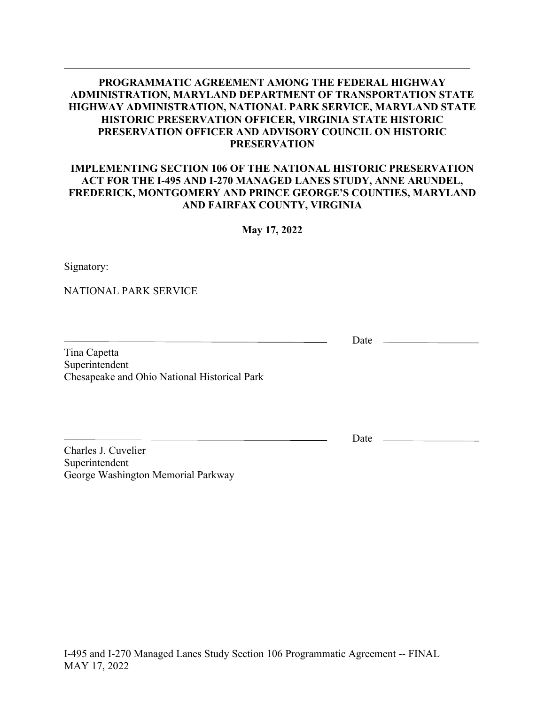#### **IMPLEMENTING SECTION 106 OF THE NATIONAL HISTORIC PRESERVATION ACT FOR THE I-495 AND I-270 MANAGED LANES STUDY, ANNE ARUNDEL, FREDERICK, MONTGOMERY AND PRINCE GEORGE'S COUNTIES, MARYLAND AND FAIRFAX COUNTY, VIRGINIA**

**May 17, 2022**

Signatory:

NATIONAL PARK SERVICE

Tina Capetta Superintendent Chesapeake and Ohio National Historical Park

Date  $\_\_$ 

Charles J. Cuvelier Superintendent George Washington Memorial Parkway Date <u>\_\_\_\_\_\_\_\_\_\_</u>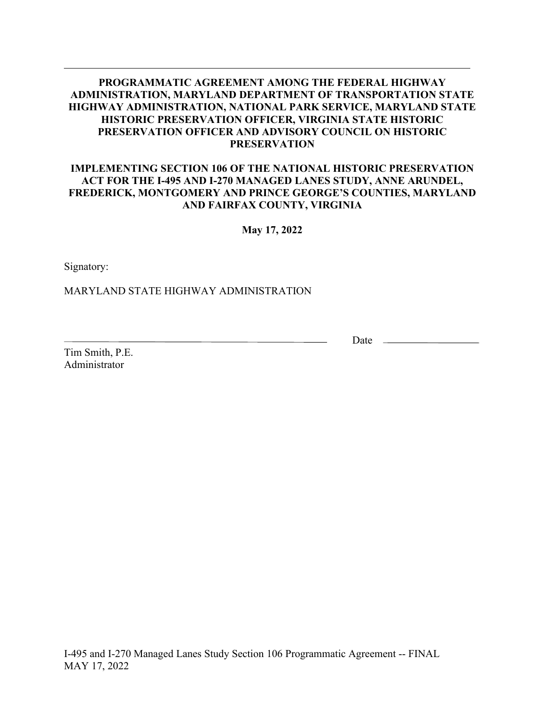#### **IMPLEMENTING SECTION 106 OF THE NATIONAL HISTORIC PRESERVATION ACT FOR THE I-495 AND I-270 MANAGED LANES STUDY, ANNE ARUNDEL, FREDERICK, MONTGOMERY AND PRINCE GEORGE'S COUNTIES, MARYLAND AND FAIRFAX COUNTY, VIRGINIA**

**May 17, 2022**

Signatory:

MARYLAND STATE HIGHWAY ADMINISTRATION

Tim Smith, P.E. Administrator

Date  $\_\_$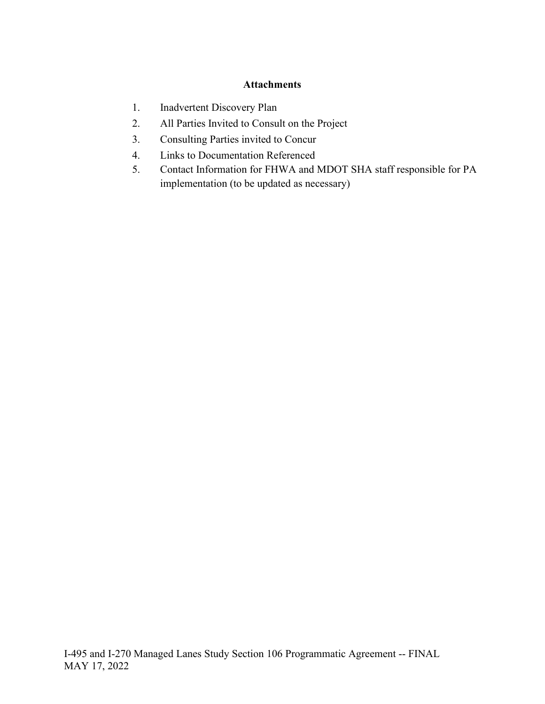## **Attachments**

- 1. Inadvertent Discovery Plan
- 2. All Parties Invited to Consult on the Project
- 3. Consulting Parties invited to Concur
- 4. Links to Documentation Referenced
- 5. Contact Information for FHWA and MDOT SHA staff responsible for PA implementation (to be updated as necessary)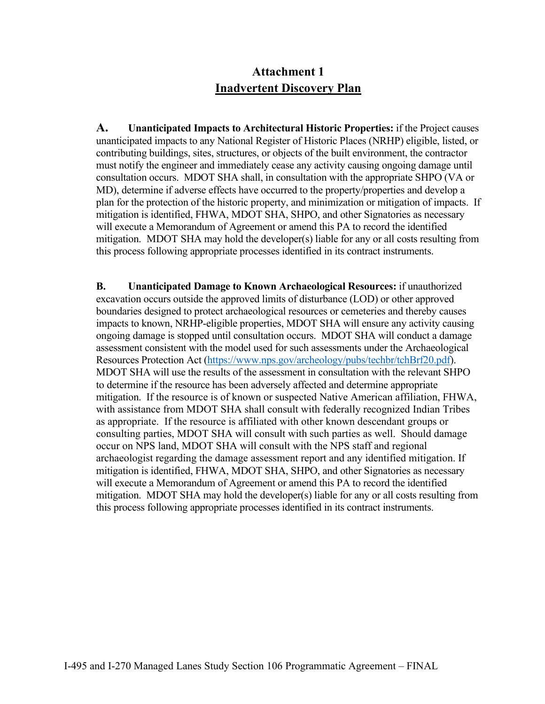# **Attachment 1 Inadvertent Discovery Plan**

**A. Unanticipated Impacts to Architectural Historic Properties:** if the Project causes unanticipated impacts to any National Register of Historic Places (NRHP) eligible, listed, or contributing buildings, sites, structures, or objects of the built environment, the contractor must notify the engineer and immediately cease any activity causing ongoing damage until consultation occurs. MDOT SHA shall, in consultation with the appropriate SHPO (VA or MD), determine if adverse effects have occurred to the property/properties and develop a plan for the protection of the historic property, and minimization or mitigation of impacts. If mitigation is identified, FHWA, MDOT SHA, SHPO, and other Signatories as necessary will execute a Memorandum of Agreement or amend this PA to record the identified mitigation. MDOT SHA may hold the developer(s) liable for any or all costs resulting from this process following appropriate processes identified in its contract instruments.

**B. Unanticipated Damage to Known Archaeological Resources:** if unauthorized excavation occurs outside the approved limits of disturbance (LOD) or other approved boundaries designed to protect archaeological resources or cemeteries and thereby causes impacts to known, NRHP-eligible properties, MDOT SHA will ensure any activity causing ongoing damage is stopped until consultation occurs. MDOT SHA will conduct a damage assessment consistent with the model used for such assessments under the Archaeological Resources Protection Act [\(https://www.nps.gov/archeology/pubs/techbr/tchBrf20.pdf\)](https://www.nps.gov/archeology/pubs/techbr/tchBrf20.pdf). MDOT SHA will use the results of the assessment in consultation with the relevant SHPO to determine if the resource has been adversely affected and determine appropriate mitigation. If the resource is of known or suspected Native American affiliation, FHWA, with assistance from MDOT SHA shall consult with federally recognized Indian Tribes as appropriate. If the resource is affiliated with other known descendant groups or consulting parties, MDOT SHA will consult with such parties as well. Should damage occur on NPS land, MDOT SHA will consult with the NPS staff and regional archaeologist regarding the damage assessment report and any identified mitigation. If mitigation is identified, FHWA, MDOT SHA, SHPO, and other Signatories as necessary will execute a Memorandum of Agreement or amend this PA to record the identified mitigation. MDOT SHA may hold the developer(s) liable for any or all costs resulting from this process following appropriate processes identified in its contract instruments.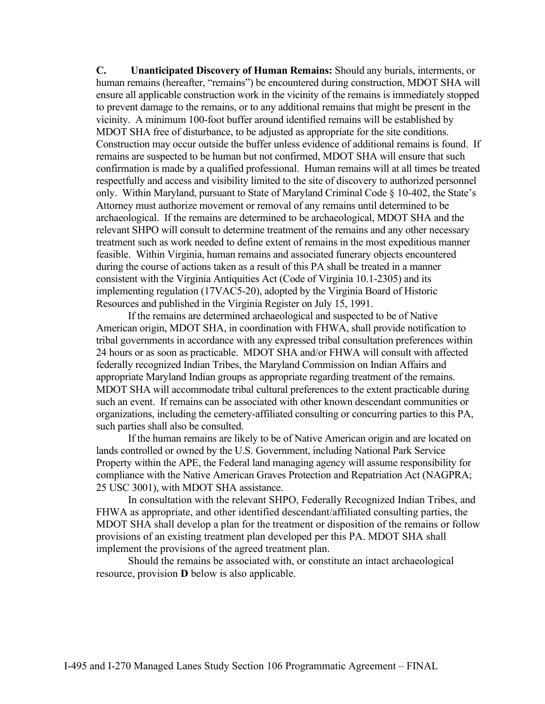**C. Unanticipated Discovery of Human Remains:** Should any burials, interments, or human remains (hereafter, "remains") be encountered during construction, MDOT SHA will ensure all applicable construction work in the vicinity of the remains is immediately stopped to prevent damage to the remains, or to any additional remains that might be present in the vicinity. A minimum 100-foot buffer around identified remains will be established by MDOT SHA free of disturbance, to be adjusted as appropriate for the site conditions. Construction may occur outside the buffer unless evidence of additional remains is found. If remains are suspected to be human but not confirmed, MDOT SHA will ensure that such confirmation is made by a qualified professional. Human remains will at all times be treated respectfully and access and visibility limited to the site of discovery to authorized personnel only. Within Maryland, pursuant to State of Maryland Criminal Code § 10-402, the State's Attorney must authorize movement or removal of any remains until determined to be archaeological. If the remains are determined to be archaeological, MDOT SHA and the relevant SHPO will consult to determine treatment of the remains and any other necessary treatment such as work needed to define extent of remains in the most expeditious manner feasible. Within Virginia, human remains and associated funerary objects encountered during the course of actions taken as a result of this PA shall be treated in a manner consistent with the Virginia Antiquities Act (Code of Virginia 10.1-2305) and its implementing regulation (17VAC5-20), adopted by the Virginia Board of Historic Resources and published in the Virginia Register on July 15, 1991.

If the remains are determined archaeological and suspected to be of Native American origin, MDOT SHA, in coordination with FHWA, shall provide notification to tribal governments in accordance with any expressed tribal consultation preferences within 24 hours or as soon as practicable. MDOT SHA and/or FHWA will consult with affected federally recognized Indian Tribes, the Maryland Commission on Indian Affairs and appropriate Maryland Indian groups as appropriate regarding treatment of the remains. MDOT SHA will accommodate tribal cultural preferences to the extent practicable during such an event. If remains can be associated with other known descendant communities or organizations, including the cemetery-affiliated consulting or concurring parties to this PA, such parties shall also be consulted.

If the human remains are likely to be of Native American origin and are located on lands controlled or owned by the U.S. Government, including National Park Service Property within the APE, the Federal land managing agency will assume responsibility for compliance with the Native American Graves Protection and Repatriation Act (NAGPRA; 25 USC 3001), with MDOT SHA assistance.

In consultation with the relevant SHPO, Federally Recognized Indian Tribes, and FHWA as appropriate, and other identified descendant/affiliated consulting parties, the MDOT SHA shall develop a plan for the treatment or disposition of the remains or follow provisions of an existing treatment plan developed per this PA. MDOT SHA shall implement the provisions of the agreed treatment plan.

Should the remains be associated with, or constitute an intact archaeological resource, provision **D** below is also applicable.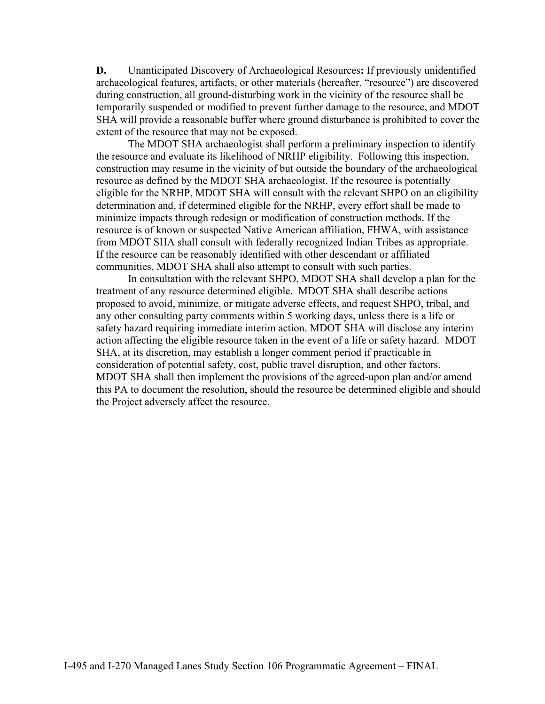**D.** Unanticipated Discovery of Archaeological Resources**:** If previously unidentified archaeological features, artifacts, or other materials (hereafter, "resource") are discovered during construction, all ground-disturbing work in the vicinity of the resource shall be temporarily suspended or modified to prevent further damage to the resource, and MDOT SHA will provide a reasonable buffer where ground disturbance is prohibited to cover the extent of the resource that may not be exposed.

The MDOT SHA archaeologist shall perform a preliminary inspection to identify the resource and evaluate its likelihood of NRHP eligibility. Following this inspection, construction may resume in the vicinity of but outside the boundary of the archaeological resource as defined by the MDOT SHA archaeologist. If the resource is potentially eligible for the NRHP, MDOT SHA will consult with the relevant SHPO on an eligibility determination and, if determined eligible for the NRHP, every effort shall be made to minimize impacts through redesign or modification of construction methods. If the resource is of known or suspected Native American affiliation, FHWA, with assistance from MDOT SHA shall consult with federally recognized Indian Tribes as appropriate. If the resource can be reasonably identified with other descendant or affiliated communities, MDOT SHA shall also attempt to consult with such parties.

In consultation with the relevant SHPO, MDOT SHA shall develop a plan for the treatment of any resource determined eligible. MDOT SHA shall describe actions proposed to avoid, minimize, or mitigate adverse effects, and request SHPO, tribal, and any other consulting party comments within 5 working days, unless there is a life or safety hazard requiring immediate interim action. MDOT SHA will disclose any interim action affecting the eligible resource taken in the event of a life or safety hazard. MDOT SHA, at its discretion, may establish a longer comment period if practicable in consideration of potential safety, cost, public travel disruption, and other factors. MDOT SHA shall then implement the provisions of the agreed-upon plan and/or amend this PA to document the resolution, should the resource be determined eligible and should the Project adversely affect the resource.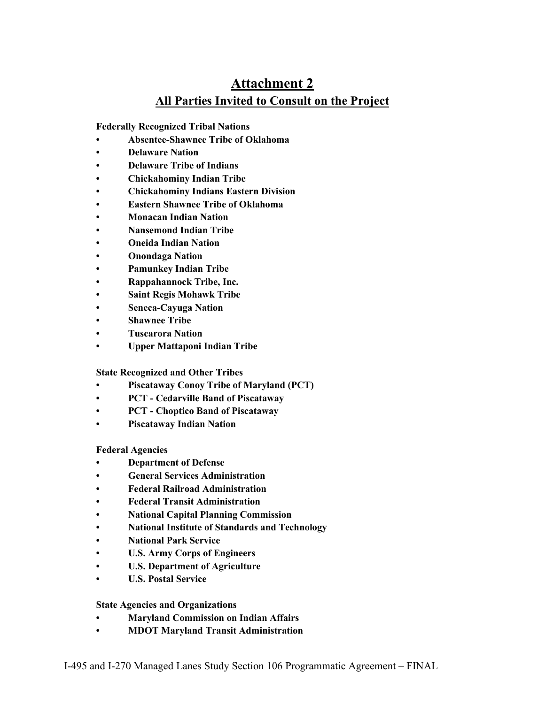# **Attachment 2 All Parties Invited to Consult on the Project**

**Federally Recognized Tribal Nations**

- **Absentee-Shawnee Tribe of Oklahoma**
- **Delaware Nation**
- **Delaware Tribe of Indians**
- **Chickahominy Indian Tribe**
- **Chickahominy Indians Eastern Division**
- **Eastern Shawnee Tribe of Oklahoma**
- **Monacan Indian Nation**
- **Nansemond Indian Tribe**
- **Oneida Indian Nation**
- **Onondaga Nation**
- **Pamunkey Indian Tribe**
- **Rappahannock Tribe, Inc.**
- **Saint Regis Mohawk Tribe**
- **Seneca-Cayuga Nation**
- **Shawnee Tribe**
- **Tuscarora Nation**
- **Upper Mattaponi Indian Tribe**

**State Recognized and Other Tribes**

- **Piscataway Conoy Tribe of Maryland (PCT)**
- **PCT Cedarville Band of Piscataway**
- **PCT Choptico Band of Piscataway**
- **Piscataway Indian Nation**

#### **Federal Agencies**

- **Department of Defense**
- **General Services Administration**
- **Federal Railroad Administration**
- **Federal Transit Administration**
- **National Capital Planning Commission**
- **National Institute of Standards and Technology**
- **National Park Service**
- **U.S. Army Corps of Engineers**
- **U.S. Department of Agriculture**
- **U.S. Postal Service**

#### **State Agencies and Organizations**

- **Maryland Commission on Indian Affairs**
- **MDOT Maryland Transit Administration**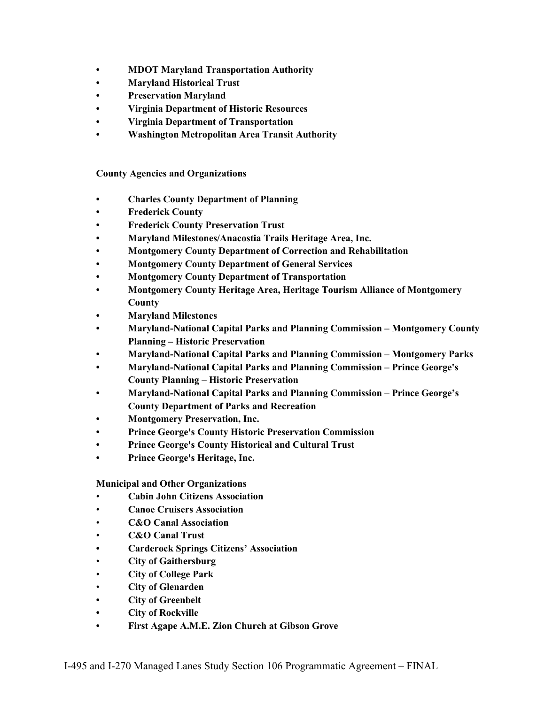- **• MDOT Maryland Transportation Authority**
- **• Maryland Historical Trust**
- **• Preservation Maryland**
- **• Virginia Department of Historic Resources**
- **• Virginia Department of Transportation**
- **• Washington Metropolitan Area Transit Authority**

**County Agencies and Organizations**

- **• Charles County Department of Planning**
- **• Frederick County**
- **• Frederick County Preservation Trust**
- **• Maryland Milestones/Anacostia Trails Heritage Area, Inc.**
- **• Montgomery County Department of Correction and Rehabilitation**
- **• Montgomery County Department of General Services**
- **• Montgomery County Department of Transportation**
- **• Montgomery County Heritage Area, Heritage Tourism Alliance of Montgomery County**
- **• Maryland Milestones**
- **• Maryland-National Capital Parks and Planning Commission – Montgomery County Planning – Historic Preservation**
- **• Maryland-National Capital Parks and Planning Commission – Montgomery Parks**
- **• Maryland-National Capital Parks and Planning Commission – Prince George's County Planning – Historic Preservation**
- **• Maryland-National Capital Parks and Planning Commission – Prince George's County Department of Parks and Recreation**
- **• Montgomery Preservation, Inc.**
- **• Prince George's County Historic Preservation Commission**
- **• Prince George's County Historical and Cultural Trust**
- **• Prince George's Heritage, Inc.**

**Municipal and Other Organizations**

- **Cabin John Citizens Association**
- **Canoe Cruisers Association**
- **C&O Canal Association**
- **C&O Canal Trust**
- **• Carderock Springs Citizens' Association**
- **City of Gaithersburg**
- **City of College Park**
- **City of Glenarden**
- **• City of Greenbelt**
- **• City of Rockville**
- **• First Agape A.M.E. Zion Church at Gibson Grove**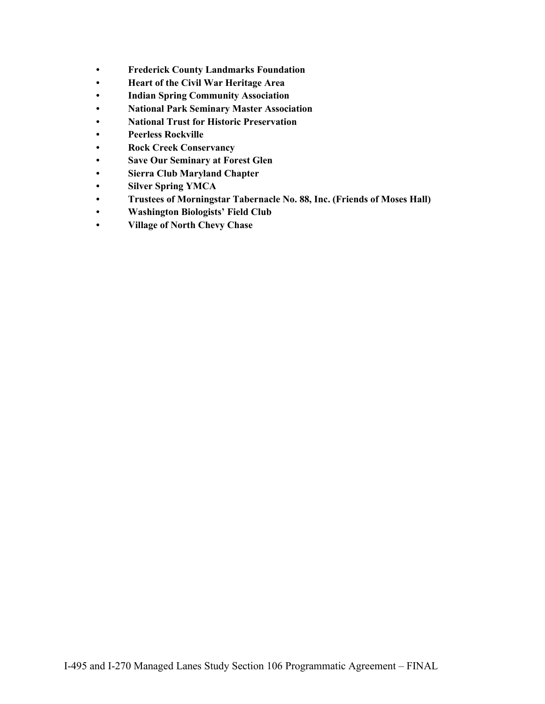- **• Frederick County Landmarks Foundation**
- **• Heart of the Civil War Heritage Area**
- **• Indian Spring Community Association**
- **• National Park Seminary Master Association**
- **• National Trust for Historic Preservation**
- **• Peerless Rockville**
- **• Rock Creek Conservancy**
- **• Save Our Seminary at Forest Glen**
- **• Sierra Club Maryland Chapter**
- **• Silver Spring YMCA**
- **• Trustees of Morningstar Tabernacle No. 88, Inc. (Friends of Moses Hall)**
- **• Washington Biologists' Field Club**
- **• Village of North Chevy Chase**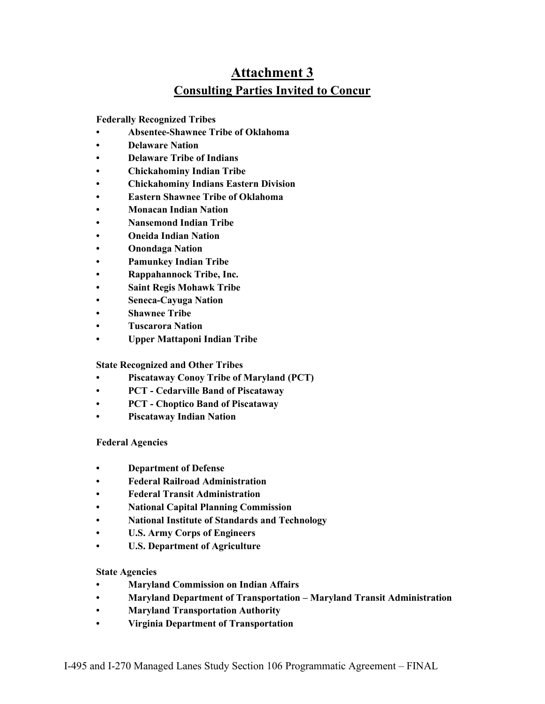# **Attachment 3 Consulting Parties Invited to Concur**

#### **Federally Recognized Tribes**

- **Absentee-Shawnee Tribe of Oklahoma**
- **Delaware Nation**
- **Delaware Tribe of Indians**
- **Chickahominy Indian Tribe**
- **Chickahominy Indians Eastern Division**
- **Eastern Shawnee Tribe of Oklahoma**
- **Monacan Indian Nation**
- **Nansemond Indian Tribe**
- **Oneida Indian Nation**
- **Onondaga Nation**
- **Pamunkey Indian Tribe**
- **Rappahannock Tribe, Inc.**
- **Saint Regis Mohawk Tribe**
- **Seneca-Cayuga Nation**
- **Shawnee Tribe**
- **Tuscarora Nation**
- **Upper Mattaponi Indian Tribe**

#### **State Recognized and Other Tribes**

- **Piscataway Conoy Tribe of Maryland (PCT)**
- **PCT Cedarville Band of Piscataway**
- **PCT Choptico Band of Piscataway**
- **Piscataway Indian Nation**

#### **Federal Agencies**

- **Department of Defense**
- **Federal Railroad Administration**
- **Federal Transit Administration**
- **National Capital Planning Commission**
- **National Institute of Standards and Technology**
- **U.S. Army Corps of Engineers**
- **U.S. Department of Agriculture**

#### **State Agencies**

- **Maryland Commission on Indian Affairs**
- **Maryland Department of Transportation Maryland Transit Administration**
- **Maryland Transportation Authority**
- **Virginia Department of Transportation**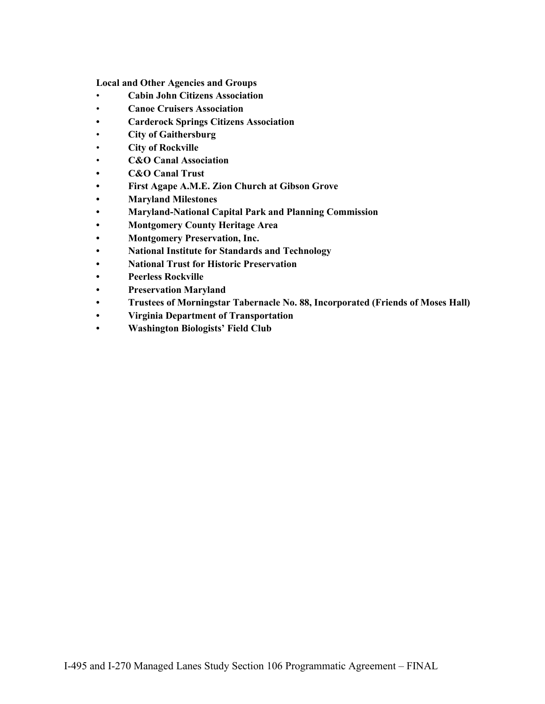**Local and Other Agencies and Groups**

- **Cabin John Citizens Association**
- **Canoe Cruisers Association**
- **• Carderock Springs Citizens Association**
- **City of Gaithersburg**
- **City of Rockville**
- **C&O Canal Association**
- **• C&O Canal Trust**
- **• First Agape A.M.E. Zion Church at Gibson Grove**
- **• Maryland Milestones**
- **• Maryland-National Capital Park and Planning Commission**
- **• Montgomery County Heritage Area**
- **• Montgomery Preservation, Inc.**
- **• National Institute for Standards and Technology**
- **• National Trust for Historic Preservation**
- **• Peerless Rockville**
- **• Preservation Maryland**
- **• Trustees of Morningstar Tabernacle No. 88, Incorporated (Friends of Moses Hall)**
- **• Virginia Department of Transportation**
- **• Washington Biologists' Field Club**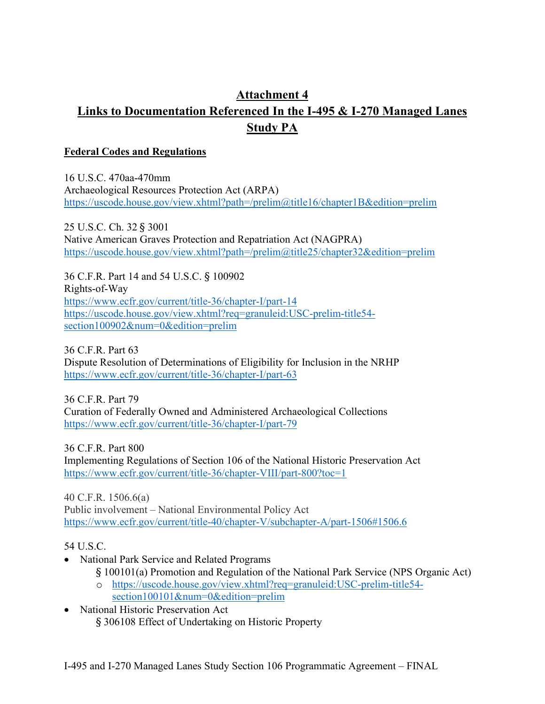# **Attachment 4 Links to Documentation Referenced In the I-495 & I-270 Managed Lanes Study PA**

#### **Federal Codes and Regulations**

16 U.S.C. 470aa-470mm Archaeological Resources Protection Act (ARPA) <https://uscode.house.gov/view.xhtml?path=/prelim@title16/chapter1B&edition=prelim>

25 U.S.C. Ch. 32 § 3001 Native American Graves Protection and Repatriation Act (NAGPRA) <https://uscode.house.gov/view.xhtml?path=/prelim@title25/chapter32&edition=prelim>

36 C.F.R. Part 14 and 54 U.S.C. § 100902 Rights-of-Way <https://www.ecfr.gov/current/title-36/chapter-I/part-14> [https://uscode.house.gov/view.xhtml?req=granuleid:USC-prelim-title54](https://uscode.house.gov/view.xhtml?req=granuleid:USC-prelim-title54-section100902&num=0&edition=prelim) [section100902&num=0&edition=prelim](https://uscode.house.gov/view.xhtml?req=granuleid:USC-prelim-title54-section100902&num=0&edition=prelim)

36 C.F.R. Part 63 Dispute Resolution of Determinations of Eligibility for Inclusion in the NRHP <https://www.ecfr.gov/current/title-36/chapter-I/part-63>

36 C.F.R. Part 79 Curation of Federally Owned and Administered Archaeological Collections <https://www.ecfr.gov/current/title-36/chapter-I/part-79>

36 C.F.R. Part 800

Implementing Regulations of Section 106 of the National Historic Preservation Act <https://www.ecfr.gov/current/title-36/chapter-VIII/part-800?toc=1>

40 C.F.R. 1506.6(a) Public involvement – National Environmental Policy Act <https://www.ecfr.gov/current/title-40/chapter-V/subchapter-A/part-1506#1506.6>

54 U.S.C.

- National Park Service and Related Programs
	- § 100101(a) Promotion and Regulation of the National Park Service (NPS Organic Act) o [https://uscode.house.gov/view.xhtml?req=granuleid:USC-prelim-title54-](https://uscode.house.gov/view.xhtml?req=granuleid:USC-prelim-title54-section100101&num=0&edition=prelim)
	- [section100101&num=0&edition=prelim](https://uscode.house.gov/view.xhtml?req=granuleid:USC-prelim-title54-section100101&num=0&edition=prelim)
- National Historic Preservation Act § 306108 Effect of Undertaking on Historic Property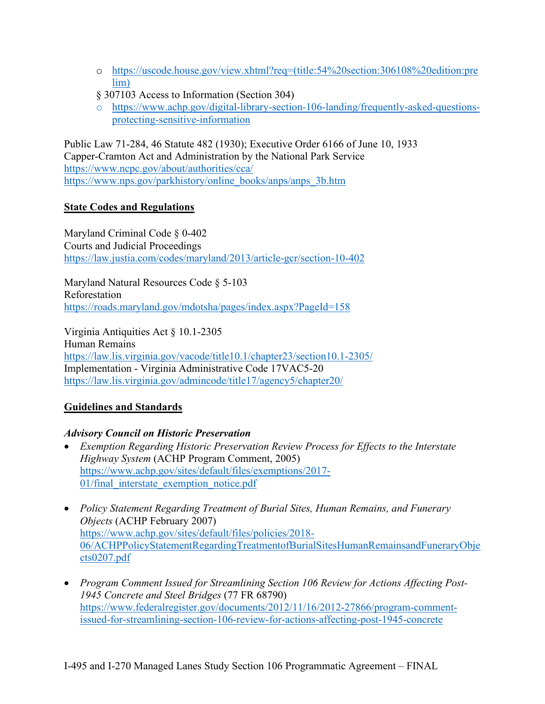- o [https://uscode.house.gov/view.xhtml?req=\(title:54%20section:306108%20edition:pre](https://uscode.house.gov/view.xhtml?req=(title:54%20section:306108%20edition:prelim)) [lim\)](https://uscode.house.gov/view.xhtml?req=(title:54%20section:306108%20edition:prelim))
- § 307103 Access to Information (Section 304)
- o [https://www.achp.gov/digital-library-section-106-landing/frequently-asked-questions](https://www.achp.gov/digital-library-section-106-landing/frequently-asked-questions-protecting-sensitive-information)[protecting-sensitive-information](https://www.achp.gov/digital-library-section-106-landing/frequently-asked-questions-protecting-sensitive-information)

Public Law 71-284, 46 Statute 482 (1930); Executive Order 6166 of June 10, 1933 Capper-Cramton Act and Administration by the National Park Service <https://www.ncpc.gov/about/authorities/cca/> https://www.nps.gov/parkhistory/online\_books/anps/anps\_3b.htm

#### **State Codes and Regulations**

Maryland Criminal Code § 0-402 Courts and Judicial Proceedings <https://law.justia.com/codes/maryland/2013/article-gcr/section-10-402>

Maryland Natural Resources Code § 5-103 Reforestation https://roads.maryland.gov/mdotsha/pages/index.aspx?PageId=158

Virginia Antiquities Act § 10.1-2305 Human Remains <https://law.lis.virginia.gov/vacode/title10.1/chapter23/section10.1-2305/> Implementation - Virginia Administrative Code 17VAC5-20 <https://law.lis.virginia.gov/admincode/title17/agency5/chapter20/>

## **Guidelines and Standards**

## *Advisory Council on Historic Preservation*

- *Exemption Regarding Historic Preservation Review Process for Effects to the Interstate Highway System* (ACHP Program Comment, 2005) [https://www.achp.gov/sites/default/files/exemptions/2017-](https://www.achp.gov/sites/default/files/exemptions/2017-01/final_interstate_exemption_notice.pdf) [01/final\\_interstate\\_exemption\\_notice.pdf](https://www.achp.gov/sites/default/files/exemptions/2017-01/final_interstate_exemption_notice.pdf)
- *Policy Statement Regarding Treatment of Burial Sites, Human Remains, and Funerary Objects* (ACHP February 2007) [https://www.achp.gov/sites/default/files/policies/2018-](https://www.achp.gov/sites/default/files/policies/2018-06/ACHPPolicyStatementRegardingTreatmentofBurialSitesHumanRemainsandFuneraryObjects0207.pdf) [06/ACHPPolicyStatementRegardingTreatmentofBurialSitesHumanRemainsandFuneraryObje](https://www.achp.gov/sites/default/files/policies/2018-06/ACHPPolicyStatementRegardingTreatmentofBurialSitesHumanRemainsandFuneraryObjects0207.pdf) [cts0207.pdf](https://www.achp.gov/sites/default/files/policies/2018-06/ACHPPolicyStatementRegardingTreatmentofBurialSitesHumanRemainsandFuneraryObjects0207.pdf)
- *Program Comment Issued for Streamlining Section 106 Review for Actions Affecting Post-1945 Concrete and Steel Bridges* (77 FR 68790) [https://www.federalregister.gov/documents/2012/11/16/2012-27866/program-comment](https://www.federalregister.gov/documents/2012/11/16/2012-27866/program-comment-issued-for-streamlining-section-106-review-for-actions-affecting-post-1945-concrete)[issued-for-streamlining-section-106-review-for-actions-affecting-post-1945-concrete](https://www.federalregister.gov/documents/2012/11/16/2012-27866/program-comment-issued-for-streamlining-section-106-review-for-actions-affecting-post-1945-concrete)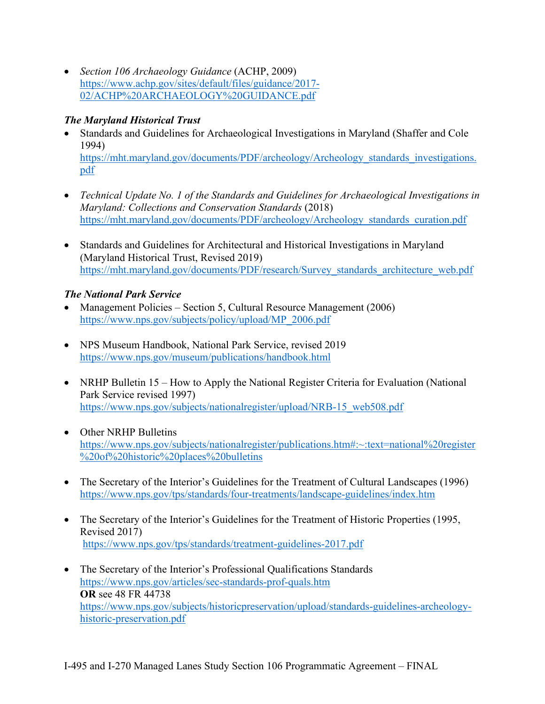• *Section 106 Archaeology Guidance* (ACHP, 2009) https://www.achp.gov/sites/default/files/guidance/2017- 02/ACHP%20ARCHAEOLOGY%20GUIDANCE.pdf

## *The Maryland Historical Trust*

- Standards and Guidelines for Archaeological Investigations in Maryland (Shaffer and Cole 1994) https://mht.maryland.gov/documents/PDF/archeology/Archeology\_standards\_investigations. pdf
- *Technical Update No. 1 of the Standards and Guidelines for Archaeological Investigations in Maryland: Collections and Conservation Standards* (2018) https://mht.maryland.gov/documents/PDF/archeology/Archeology\_standards\_curation.pdf
- Standards and Guidelines for Architectural and Historical Investigations in Maryland (Maryland Historical Trust, Revised 2019) https://mht.maryland.gov/documents/PDF/research/Survey\_standards\_architecture\_web.pdf

# *The National Park Service*

- Management Policies Section 5, Cultural Resource Management (2006) https://www.nps.gov/subjects/policy/upload/MP\_2006.pdf
- NPS Museum Handbook, National Park Service, revised 2019 https://www.nps.gov/museum/publications/handbook.html
- NRHP Bulletin 15 How to Apply the National Register Criteria for Evaluation (National Park Service revised 1997) https://www.nps.gov/subjects/nationalregister/upload/NRB-15\_web508.pdf
- Other NRHP Bulletins https://www.nps.gov/subjects/nationalregister/publications.htm#:~:text=national%20register %20of%20historic%20places%20bulletins
- The Secretary of the Interior's Guidelines for the Treatment of Cultural Landscapes (1996) https://www.nps.gov/tps/standards/four-treatments/landscape-guidelines/index.htm
- The Secretary of the Interior's Guidelines for the Treatment of Historic Properties (1995, Revised 2017) https://www.nps.gov/tps/standards/treatment-guidelines-2017.pdf
- The Secretary of the Interior's Professional Qualifications Standards https://www.nps.gov/articles/sec-standards-prof-quals.htm **OR** see 48 FR 44738 https://www.nps.gov/subjects/historicpreservation/upload/standards-guidelines-archeologyhistoric-preservation.pdf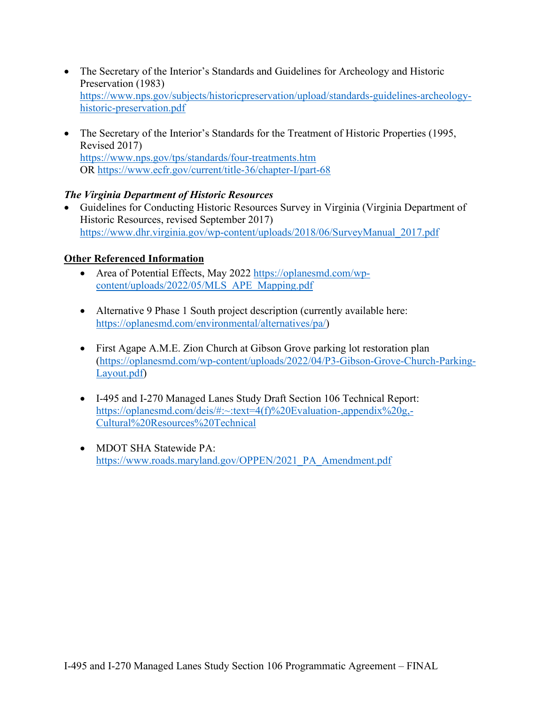- The Secretary of the Interior's Standards and Guidelines for Archeology and Historic Preservation (1983) https://www.nps.gov/subjects/historicpreservation/upload/standards-guidelines-archeologyhistoric-preservation.pdf
- The Secretary of the Interior's Standards for the Treatment of Historic Properties (1995, Revised 2017) https://www.nps.gov/tps/standards/four-treatments.htm OR https://www.ecfr.gov/current/title-36/chapter-I/part-68

#### *The Virginia Department of Historic Resources*

• Guidelines for Conducting Historic Resources Survey in Virginia (Virginia Department of Historic Resources, revised September 2017) https://www.dhr.virginia.gov/wp-content/uploads/2018/06/SurveyManual\_2017.pdf

#### **Other Referenced Information**

- Area of Potential Effects, May 2022 https://oplanesmd.com/wpcontent/uploads/2022/05/MLS\_APE\_Mapping.pdf
- Alternative 9 Phase 1 South project description (currently available here: https://oplanesmd.com/environmental/alternatives/pa/)
- First Agape A.M.E. Zion Church at Gibson Grove parking lot restoration plan (https://oplanesmd.com/wp-content/uploads/2022/04/P3-Gibson-Grove-Church-Parking-Layout.pdf)
- I-495 and I-270 Managed Lanes Study Draft Section 106 Technical Report: https://oplanesmd.com/deis/#:~:text=4(f)%20Evaluation-,appendix%20g,- Cultural%20Resources%20Technical
- MDOT SHA Statewide PA: https://www.roads.maryland.gov/OPPEN/2021\_PA\_Amendment.pdf